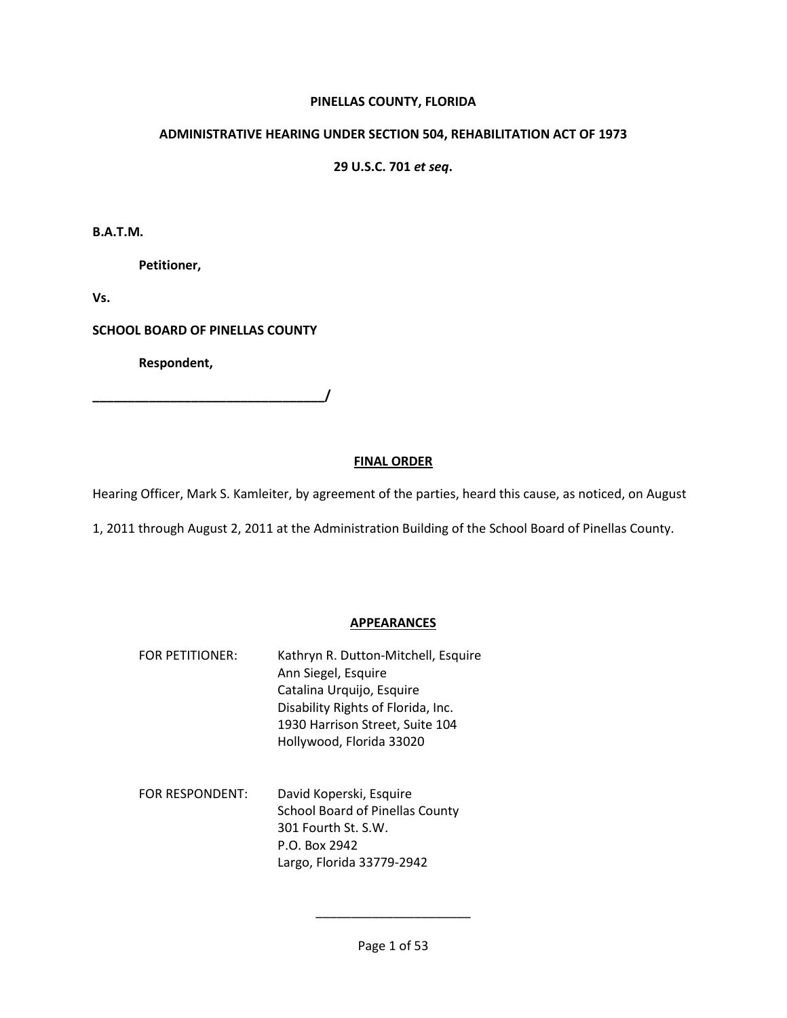## **PINELLAS COUNTY, FLORIDA**

## **ADMINISTRATIVE HEARING UNDER SECTION 504, REHABILITATION ACT OF 1973**

# **29 U.S.C. 701** *et seq***.**

**B.A.T.M.** 

 **Petitioner,** 

**Vs.** 

**SCHOOL BOARD OF PINELLAS COUNTY** 

 **Respondent,** 

**\_\_\_\_\_\_\_\_\_\_\_\_\_\_\_\_\_\_\_\_\_\_\_\_\_\_\_\_\_\_\_\_\_/** 

## **FINAL ORDER**

Hearing Officer, Mark S. Kamleiter, by agreement of the parties, heard this cause, as noticed, on August

1, 2011 through August 2, 2011 at the Administration Building of the School Board of Pinellas County.

## **APPEARANCES**

- FOR PETITIONER: Kathryn R. Dutton-Mitchell, Esquire Ann Siegel, Esquire Catalina Urquijo, Esquire Disability Rights of Florida, Inc. 1930 Harrison Street, Suite 104 Hollywood, Florida 33020
- FOR RESPONDENT: David Koperski, Esquire School Board of Pinellas County 301 Fourth St. S.W. P.O. Box 2942 Largo, Florida 33779-2942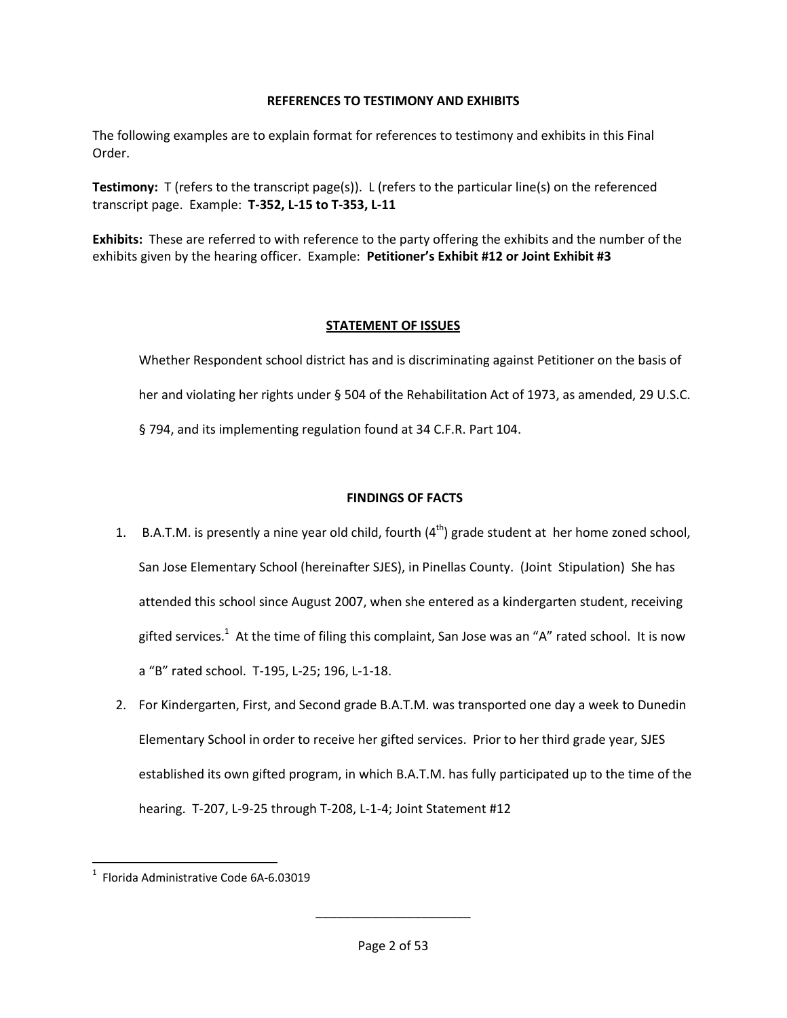## **REFERENCES TO TESTIMONY AND EXHIBITS**

The following examples are to explain format for references to testimony and exhibits in this Final Order.

**Testimony:** T (refers to the transcript page(s)). L (refers to the particular line(s) on the referenced transcript page. Example: **T-352, L-15 to T-353, L-11**

**Exhibits:** These are referred to with reference to the party offering the exhibits and the number of the exhibits given by the hearing officer. Example: **Petitioner's Exhibit #12 or Joint Exhibit #3**

# **STATEMENT OF ISSUES**

Whether Respondent school district has and is discriminating against Petitioner on the basis of her and violating her rights under § 504 of the Rehabilitation Act of 1973, as amended, 29 U.S.C. § 794, and its implementing regulation found at 34 C.F.R. Part 104.

# **FINDINGS OF FACTS**

- 1. B.A.T.M. is presently a nine year old child, fourth  $(4<sup>th</sup>)$  grade student at her home zoned school, San Jose Elementary School (hereinafter SJES), in Pinellas County. (Joint Stipulation) She has attended this school since August 2007, when she entered as a kindergarten student, receiving gifted services.<sup>1</sup> At the time of filing this complaint, San Jose was an "A" rated school. It is now a "B" rated school. T-195, L-25; 196, L-1-18.
- 2. For Kindergarten, First, and Second grade B.A.T.M. was transported one day a week to Dunedin Elementary School in order to receive her gifted services. Prior to her third grade year, SJES established its own gifted program, in which B.A.T.M. has fully participated up to the time of the hearing. T-207, L-9-25 through T-208, L-1-4; Joint Statement #12

 $\overline{\phantom{0}}$ 

 $1$  Florida Administrative Code 6A-6.03019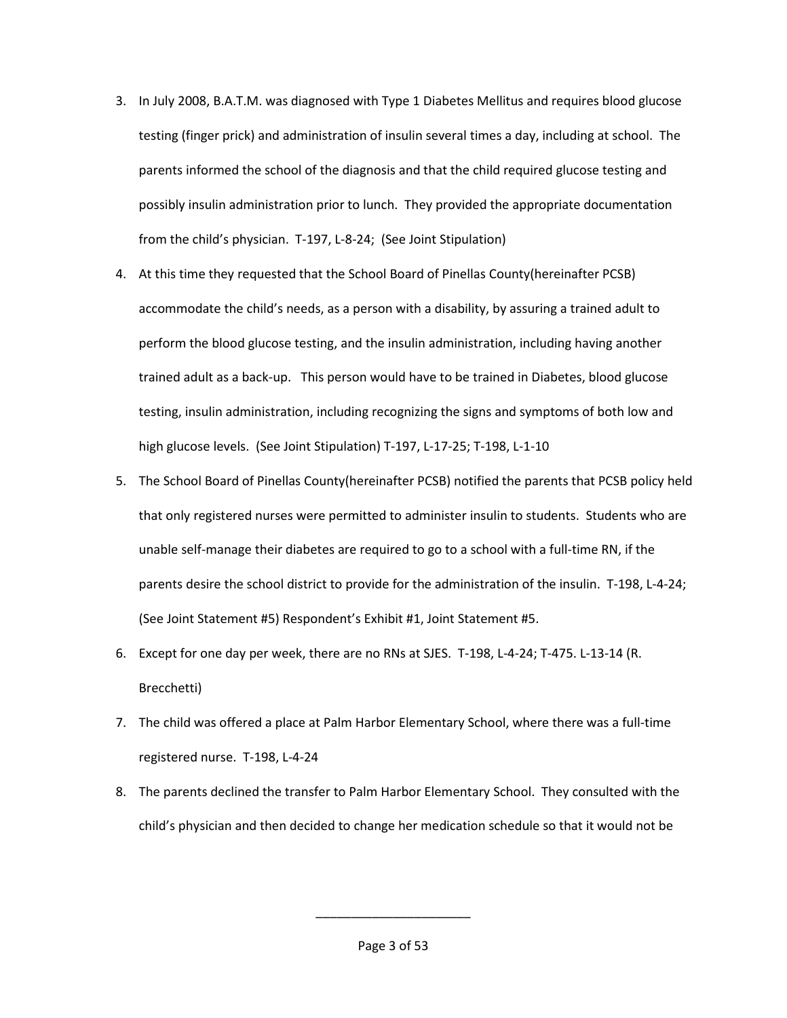- 3. In July 2008, B.A.T.M. was diagnosed with Type 1 Diabetes Mellitus and requires blood glucose testing (finger prick) and administration of insulin several times a day, including at school. The parents informed the school of the diagnosis and that the child required glucose testing and possibly insulin administration prior to lunch. They provided the appropriate documentation from the child's physician. T-197, L-8-24; (See Joint Stipulation)
- 4. At this time they requested that the School Board of Pinellas County(hereinafter PCSB) accommodate the child's needs, as a person with a disability, by assuring a trained adult to perform the blood glucose testing, and the insulin administration, including having another trained adult as a back-up. This person would have to be trained in Diabetes, blood glucose testing, insulin administration, including recognizing the signs and symptoms of both low and high glucose levels. (See Joint Stipulation) T-197, L-17-25; T-198, L-1-10
- 5. The School Board of Pinellas County(hereinafter PCSB) notified the parents that PCSB policy held that only registered nurses were permitted to administer insulin to students. Students who are unable self-manage their diabetes are required to go to a school with a full-time RN, if the parents desire the school district to provide for the administration of the insulin. T-198, L-4-24; (See Joint Statement #5) Respondent's Exhibit #1, Joint Statement #5.
- 6. Except for one day per week, there are no RNs at SJES. T-198, L-4-24; T-475. L-13-14 (R. Brecchetti)
- 7. The child was offered a place at Palm Harbor Elementary School, where there was a full-time registered nurse. T-198, L-4-24
- 8. The parents declined the transfer to Palm Harbor Elementary School. They consulted with the child's physician and then decided to change her medication schedule so that it would not be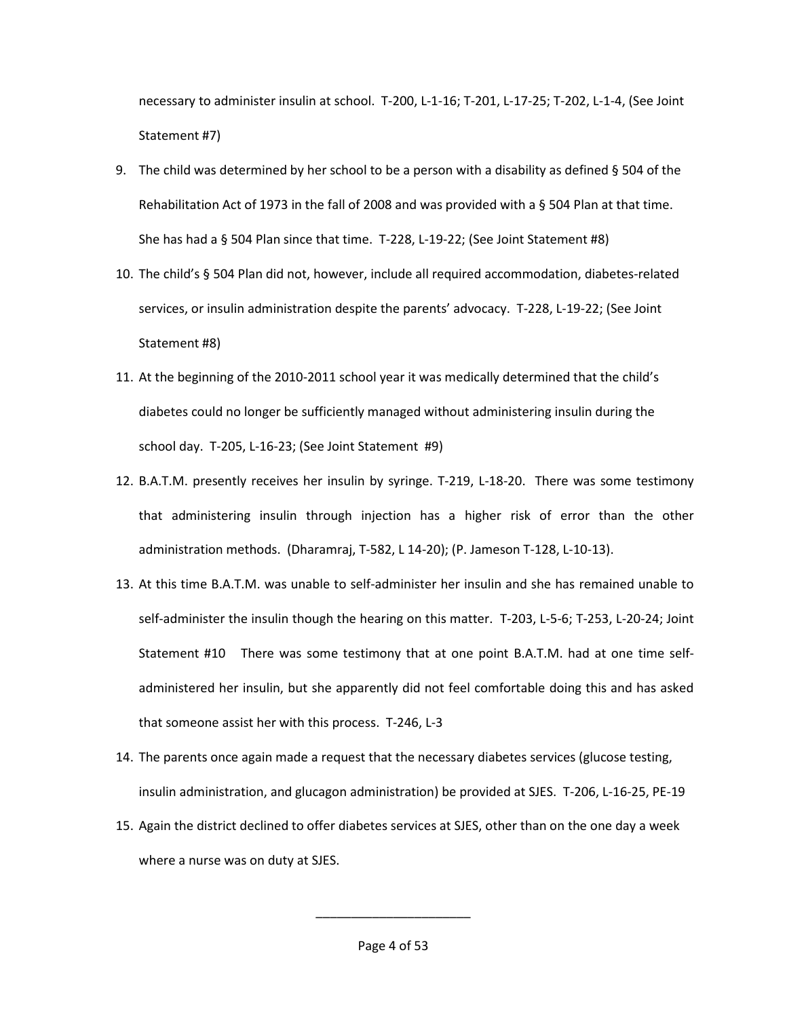necessary to administer insulin at school. T-200, L-1-16; T-201, L-17-25; T-202, L-1-4, (See Joint Statement #7)

- 9. The child was determined by her school to be a person with a disability as defined § 504 of the Rehabilitation Act of 1973 in the fall of 2008 and was provided with a § 504 Plan at that time. She has had a § 504 Plan since that time. T-228, L-19-22; (See Joint Statement #8)
- 10. The child's § 504 Plan did not, however, include all required accommodation, diabetes-related services, or insulin administration despite the parents' advocacy. T-228, L-19-22; (See Joint Statement #8)
- 11. At the beginning of the 2010-2011 school year it was medically determined that the child's diabetes could no longer be sufficiently managed without administering insulin during the school day. T-205, L-16-23; (See Joint Statement #9)
- 12. B.A.T.M. presently receives her insulin by syringe. T-219, L-18-20. There was some testimony that administering insulin through injection has a higher risk of error than the other administration methods. (Dharamraj, T-582, L 14-20); (P. Jameson T-128, L-10-13).
- 13. At this time B.A.T.M. was unable to self-administer her insulin and she has remained unable to self-administer the insulin though the hearing on this matter. T-203, L-5-6; T-253, L-20-24; Joint Statement #10 There was some testimony that at one point B.A.T.M. had at one time selfadministered her insulin, but she apparently did not feel comfortable doing this and has asked that someone assist her with this process. T-246, L-3
- 14. The parents once again made a request that the necessary diabetes services (glucose testing, insulin administration, and glucagon administration) be provided at SJES. T-206, L-16-25, PE-19
- 15. Again the district declined to offer diabetes services at SJES, other than on the one day a week where a nurse was on duty at SJES.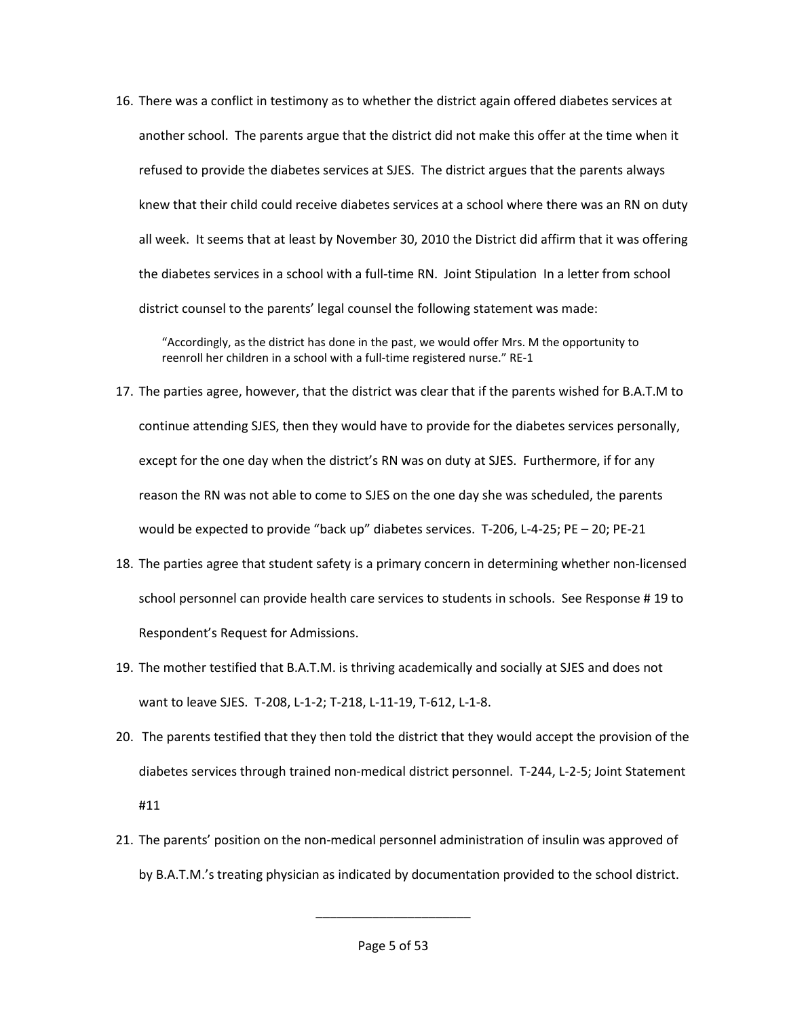16. There was a conflict in testimony as to whether the district again offered diabetes services at another school. The parents argue that the district did not make this offer at the time when it refused to provide the diabetes services at SJES. The district argues that the parents always knew that their child could receive diabetes services at a school where there was an RN on duty all week. It seems that at least by November 30, 2010 the District did affirm that it was offering the diabetes services in a school with a full-time RN. Joint Stipulation In a letter from school district counsel to the parents' legal counsel the following statement was made:

"Accordingly, as the district has done in the past, we would offer Mrs. M the opportunity to reenroll her children in a school with a full-time registered nurse." RE-1

- 17. The parties agree, however, that the district was clear that if the parents wished for B.A.T.M to continue attending SJES, then they would have to provide for the diabetes services personally, except for the one day when the district's RN was on duty at SJES. Furthermore, if for any reason the RN was not able to come to SJES on the one day she was scheduled, the parents would be expected to provide "back up" diabetes services. T-206, L-4-25; PE – 20; PE-21
- 18. The parties agree that student safety is a primary concern in determining whether non-licensed school personnel can provide health care services to students in schools. See Response # 19 to Respondent's Request for Admissions.
- 19. The mother testified that B.A.T.M. is thriving academically and socially at SJES and does not want to leave SJES. T-208, L-1-2; T-218, L-11-19, T-612, L-1-8.
- 20. The parents testified that they then told the district that they would accept the provision of the diabetes services through trained non-medical district personnel. T-244, L-2-5; Joint Statement #11
- 21. The parents' position on the non-medical personnel administration of insulin was approved of by B.A.T.M.'s treating physician as indicated by documentation provided to the school district.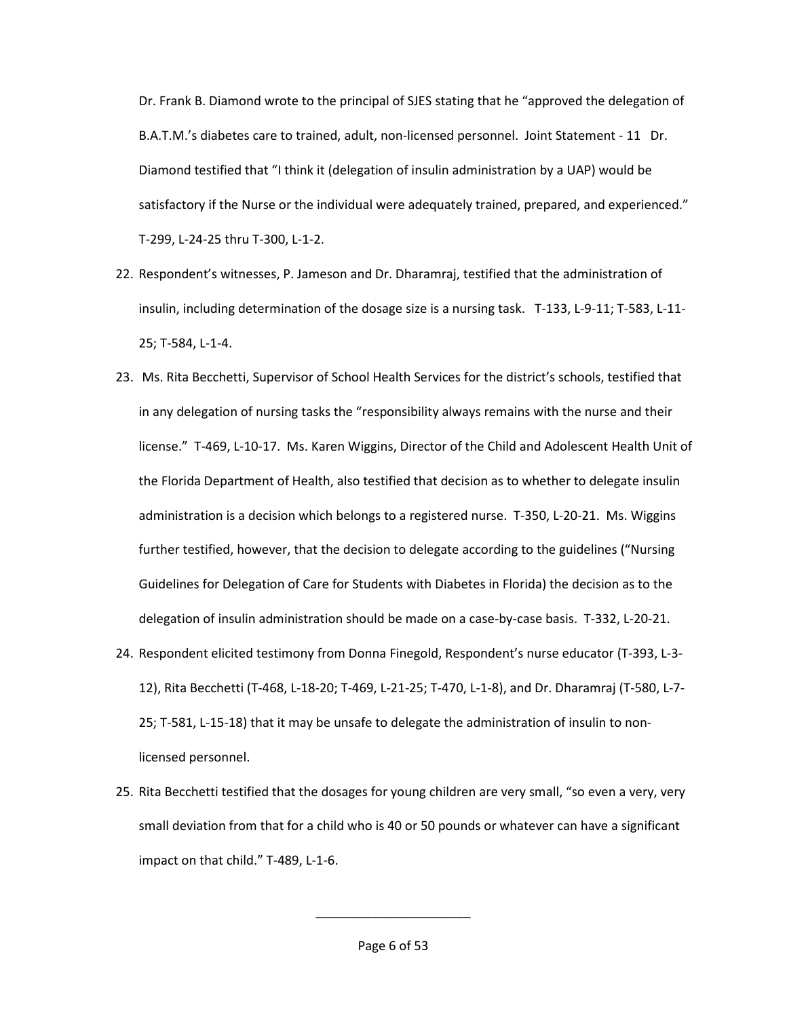Dr. Frank B. Diamond wrote to the principal of SJES stating that he "approved the delegation of B.A.T.M.'s diabetes care to trained, adult, non-licensed personnel. Joint Statement - 11 Dr. Diamond testified that "I think it (delegation of insulin administration by a UAP) would be satisfactory if the Nurse or the individual were adequately trained, prepared, and experienced." T-299, L-24-25 thru T-300, L-1-2.

- 22. Respondent's witnesses, P. Jameson and Dr. Dharamraj, testified that the administration of insulin, including determination of the dosage size is a nursing task. T-133, L-9-11; T-583, L-11- 25; T-584, L-1-4.
- 23. Ms. Rita Becchetti, Supervisor of School Health Services for the district's schools, testified that in any delegation of nursing tasks the "responsibility always remains with the nurse and their license." T-469, L-10-17. Ms. Karen Wiggins, Director of the Child and Adolescent Health Unit of the Florida Department of Health, also testified that decision as to whether to delegate insulin administration is a decision which belongs to a registered nurse. T-350, L-20-21. Ms. Wiggins further testified, however, that the decision to delegate according to the guidelines ("Nursing Guidelines for Delegation of Care for Students with Diabetes in Florida) the decision as to the delegation of insulin administration should be made on a case-by-case basis. T-332, L-20-21.
- 24. Respondent elicited testimony from Donna Finegold, Respondent's nurse educator (T-393, L-3- 12), Rita Becchetti (T-468, L-18-20; T-469, L-21-25; T-470, L-1-8), and Dr. Dharamraj (T-580, L-7- 25; T-581, L-15-18) that it may be unsafe to delegate the administration of insulin to nonlicensed personnel.
- 25. Rita Becchetti testified that the dosages for young children are very small, "so even a very, very small deviation from that for a child who is 40 or 50 pounds or whatever can have a significant impact on that child." T-489, L-1-6.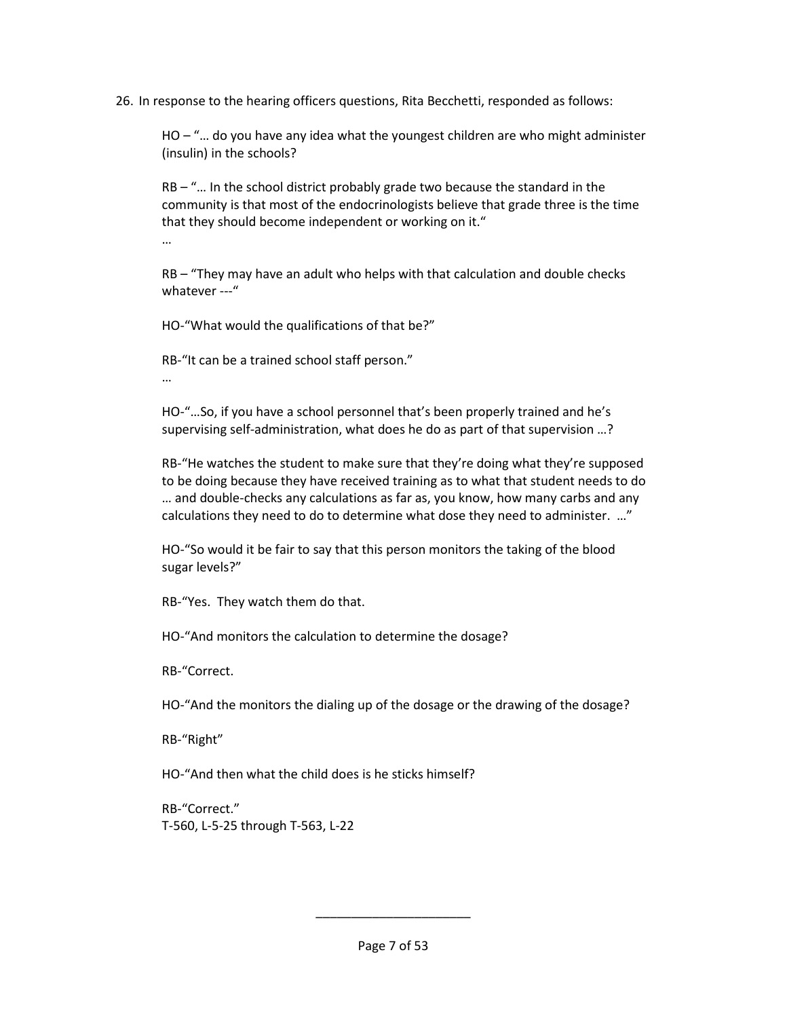26. In response to the hearing officers questions, Rita Becchetti, responded as follows:

HO – "… do you have any idea what the youngest children are who might administer (insulin) in the schools?

RB – "… In the school district probably grade two because the standard in the community is that most of the endocrinologists believe that grade three is the time that they should become independent or working on it."

…

RB – "They may have an adult who helps with that calculation and double checks whatever ---"

HO-"What would the qualifications of that be?"

RB-"It can be a trained school staff person."

…

HO-"…So, if you have a school personnel that's been properly trained and he's supervising self-administration, what does he do as part of that supervision …?

RB-"He watches the student to make sure that they're doing what they're supposed to be doing because they have received training as to what that student needs to do … and double-checks any calculations as far as, you know, how many carbs and any calculations they need to do to determine what dose they need to administer. …"

HO-"So would it be fair to say that this person monitors the taking of the blood sugar levels?"

RB-"Yes. They watch them do that.

HO-"And monitors the calculation to determine the dosage?

RB-"Correct.

HO-"And the monitors the dialing up of the dosage or the drawing of the dosage?

RB-"Right"

HO-"And then what the child does is he sticks himself?

RB-"Correct." T-560, L-5-25 through T-563, L-22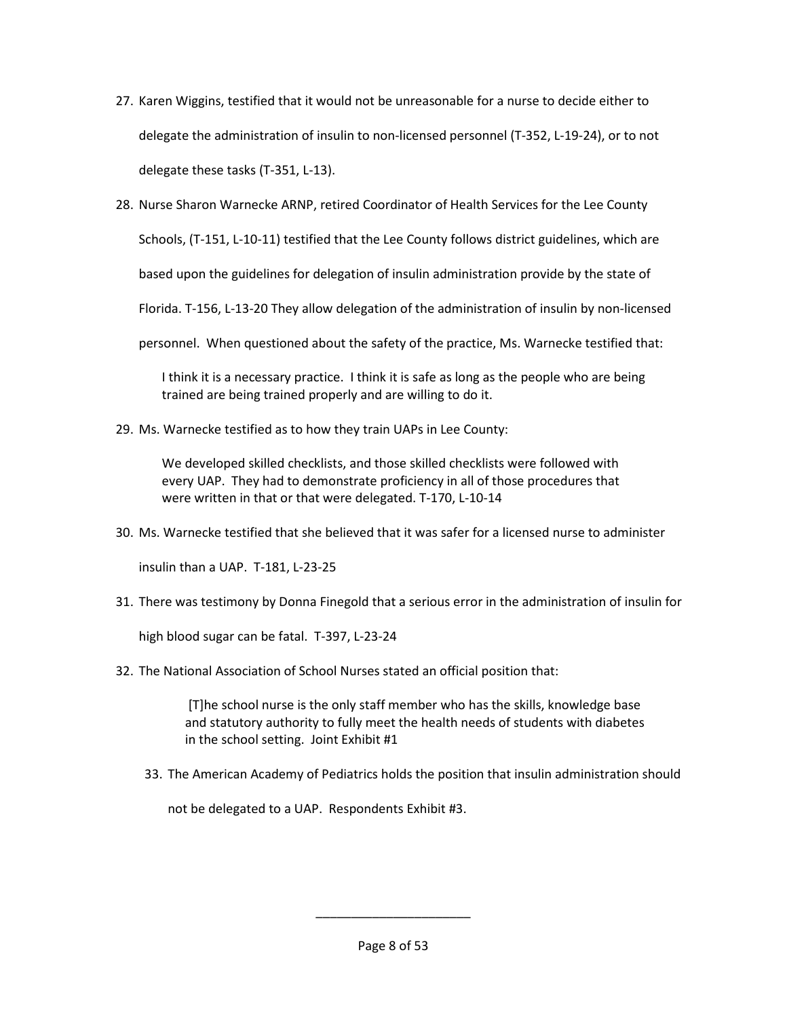- 27. Karen Wiggins, testified that it would not be unreasonable for a nurse to decide either to delegate the administration of insulin to non-licensed personnel (T-352, L-19-24), or to not delegate these tasks (T-351, L-13).
- 28. Nurse Sharon Warnecke ARNP, retired Coordinator of Health Services for the Lee County

Schools, (T-151, L-10-11) testified that the Lee County follows district guidelines, which are

based upon the guidelines for delegation of insulin administration provide by the state of

Florida. T-156, L-13-20 They allow delegation of the administration of insulin by non-licensed

personnel. When questioned about the safety of the practice, Ms. Warnecke testified that:

I think it is a necessary practice. I think it is safe as long as the people who are being trained are being trained properly and are willing to do it.

29. Ms. Warnecke testified as to how they train UAPs in Lee County:

We developed skilled checklists, and those skilled checklists were followed with every UAP. They had to demonstrate proficiency in all of those procedures that were written in that or that were delegated. T-170, L-10-14

30. Ms. Warnecke testified that she believed that it was safer for a licensed nurse to administer

insulin than a UAP. T-181, L-23-25

31. There was testimony by Donna Finegold that a serious error in the administration of insulin for

high blood sugar can be fatal. T-397, L-23-24

32. The National Association of School Nurses stated an official position that:

 [T]he school nurse is the only staff member who has the skills, knowledge base and statutory authority to fully meet the health needs of students with diabetes in the school setting. Joint Exhibit #1

33. The American Academy of Pediatrics holds the position that insulin administration should

not be delegated to a UAP. Respondents Exhibit #3.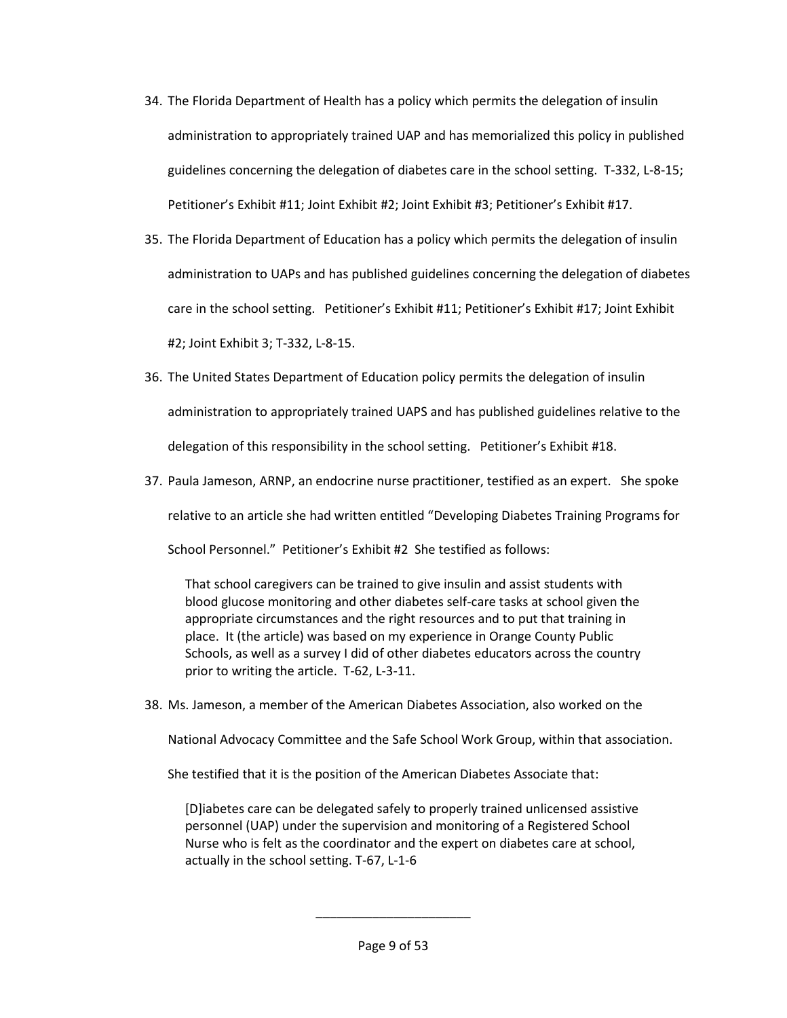- 34. The Florida Department of Health has a policy which permits the delegation of insulin administration to appropriately trained UAP and has memorialized this policy in published guidelines concerning the delegation of diabetes care in the school setting. T-332, L-8-15; Petitioner's Exhibit #11; Joint Exhibit #2; Joint Exhibit #3; Petitioner's Exhibit #17.
- 35. The Florida Department of Education has a policy which permits the delegation of insulin administration to UAPs and has published guidelines concerning the delegation of diabetes care in the school setting. Petitioner's Exhibit #11; Petitioner's Exhibit #17; Joint Exhibit #2; Joint Exhibit 3; T-332, L-8-15.
- 36. The United States Department of Education policy permits the delegation of insulin administration to appropriately trained UAPS and has published guidelines relative to the delegation of this responsibility in the school setting. Petitioner's Exhibit #18.
- 37. Paula Jameson, ARNP, an endocrine nurse practitioner, testified as an expert. She spoke relative to an article she had written entitled "Developing Diabetes Training Programs for

School Personnel." Petitioner's Exhibit #2 She testified as follows:

That school caregivers can be trained to give insulin and assist students with blood glucose monitoring and other diabetes self-care tasks at school given the appropriate circumstances and the right resources and to put that training in place. It (the article) was based on my experience in Orange County Public Schools, as well as a survey I did of other diabetes educators across the country prior to writing the article. T-62, L-3-11.

38. Ms. Jameson, a member of the American Diabetes Association, also worked on the

National Advocacy Committee and the Safe School Work Group, within that association.

She testified that it is the position of the American Diabetes Associate that:

[D]iabetes care can be delegated safely to properly trained unlicensed assistive personnel (UAP) under the supervision and monitoring of a Registered School Nurse who is felt as the coordinator and the expert on diabetes care at school, actually in the school setting. T-67, L-1-6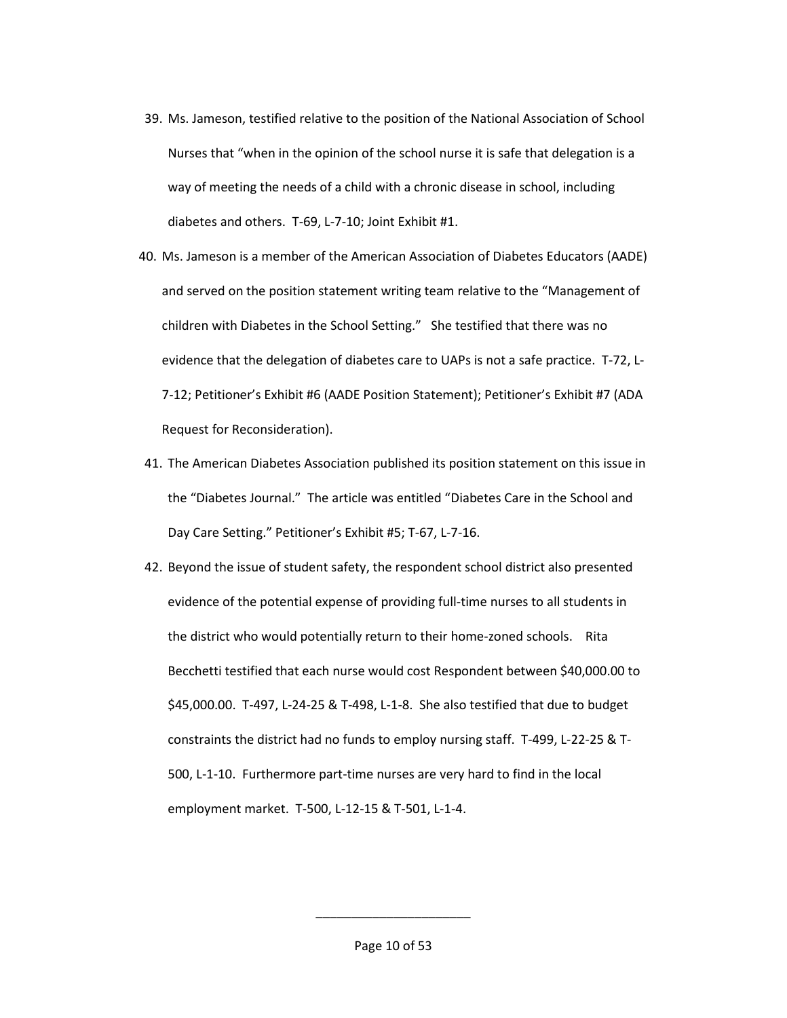- 39. Ms. Jameson, testified relative to the position of the National Association of School Nurses that "when in the opinion of the school nurse it is safe that delegation is a way of meeting the needs of a child with a chronic disease in school, including diabetes and others. T-69, L-7-10; Joint Exhibit #1.
- 40. Ms. Jameson is a member of the American Association of Diabetes Educators (AADE) and served on the position statement writing team relative to the "Management of children with Diabetes in the School Setting." She testified that there was no evidence that the delegation of diabetes care to UAPs is not a safe practice. T-72, L-7-12; Petitioner's Exhibit #6 (AADE Position Statement); Petitioner's Exhibit #7 (ADA Request for Reconsideration).
- 41. The American Diabetes Association published its position statement on this issue in the "Diabetes Journal." The article was entitled "Diabetes Care in the School and Day Care Setting." Petitioner's Exhibit #5; T-67, L-7-16.
- 42. Beyond the issue of student safety, the respondent school district also presented evidence of the potential expense of providing full-time nurses to all students in the district who would potentially return to their home-zoned schools. Rita Becchetti testified that each nurse would cost Respondent between \$40,000.00 to \$45,000.00. T-497, L-24-25 & T-498, L-1-8. She also testified that due to budget constraints the district had no funds to employ nursing staff. T-499, L-22-25 & T-500, L-1-10. Furthermore part-time nurses are very hard to find in the local employment market. T-500, L-12-15 & T-501, L-1-4.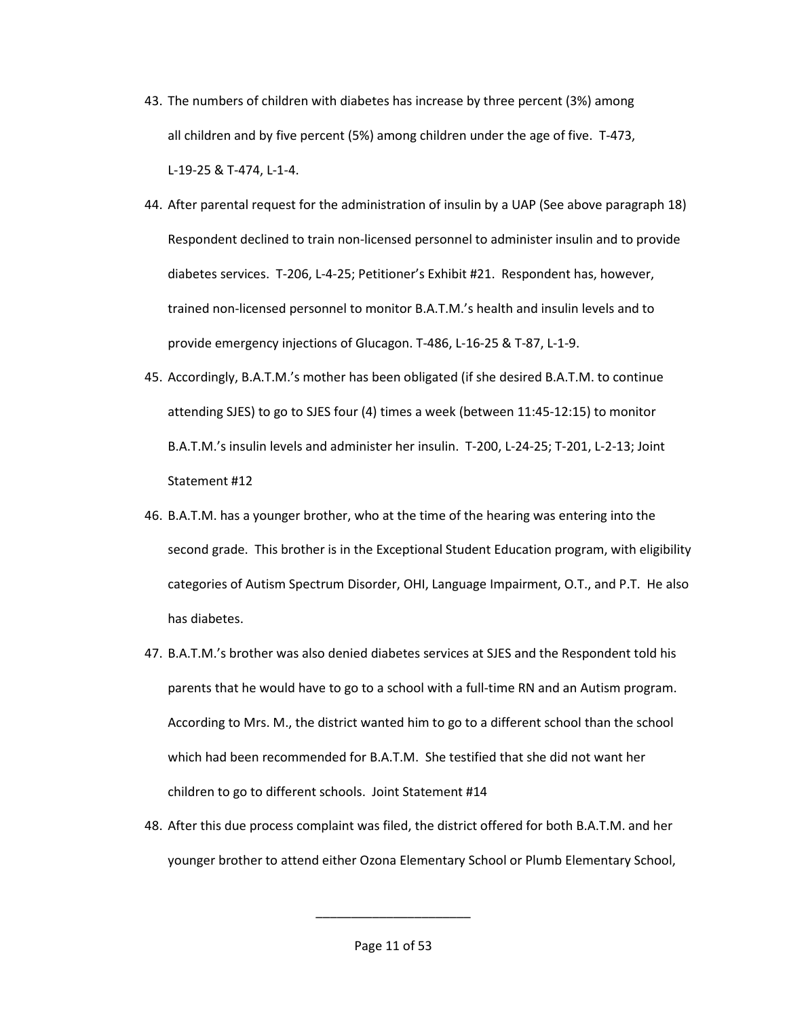- 43. The numbers of children with diabetes has increase by three percent (3%) among all children and by five percent (5%) among children under the age of five. T-473, L-19-25 & T-474, L-1-4.
- 44. After parental request for the administration of insulin by a UAP (See above paragraph 18) Respondent declined to train non-licensed personnel to administer insulin and to provide diabetes services. T-206, L-4-25; Petitioner's Exhibit #21. Respondent has, however, trained non-licensed personnel to monitor B.A.T.M.'s health and insulin levels and to provide emergency injections of Glucagon. T-486, L-16-25 & T-87, L-1-9.
- 45. Accordingly, B.A.T.M.'s mother has been obligated (if she desired B.A.T.M. to continue attending SJES) to go to SJES four (4) times a week (between 11:45-12:15) to monitor B.A.T.M.'s insulin levels and administer her insulin. T-200, L-24-25; T-201, L-2-13; Joint Statement #12
- 46. B.A.T.M. has a younger brother, who at the time of the hearing was entering into the second grade. This brother is in the Exceptional Student Education program, with eligibility categories of Autism Spectrum Disorder, OHI, Language Impairment, O.T., and P.T. He also has diabetes.
- 47. B.A.T.M.'s brother was also denied diabetes services at SJES and the Respondent told his parents that he would have to go to a school with a full-time RN and an Autism program. According to Mrs. M., the district wanted him to go to a different school than the school which had been recommended for B.A.T.M. She testified that she did not want her children to go to different schools. Joint Statement #14
- 48. After this due process complaint was filed, the district offered for both B.A.T.M. and her younger brother to attend either Ozona Elementary School or Plumb Elementary School,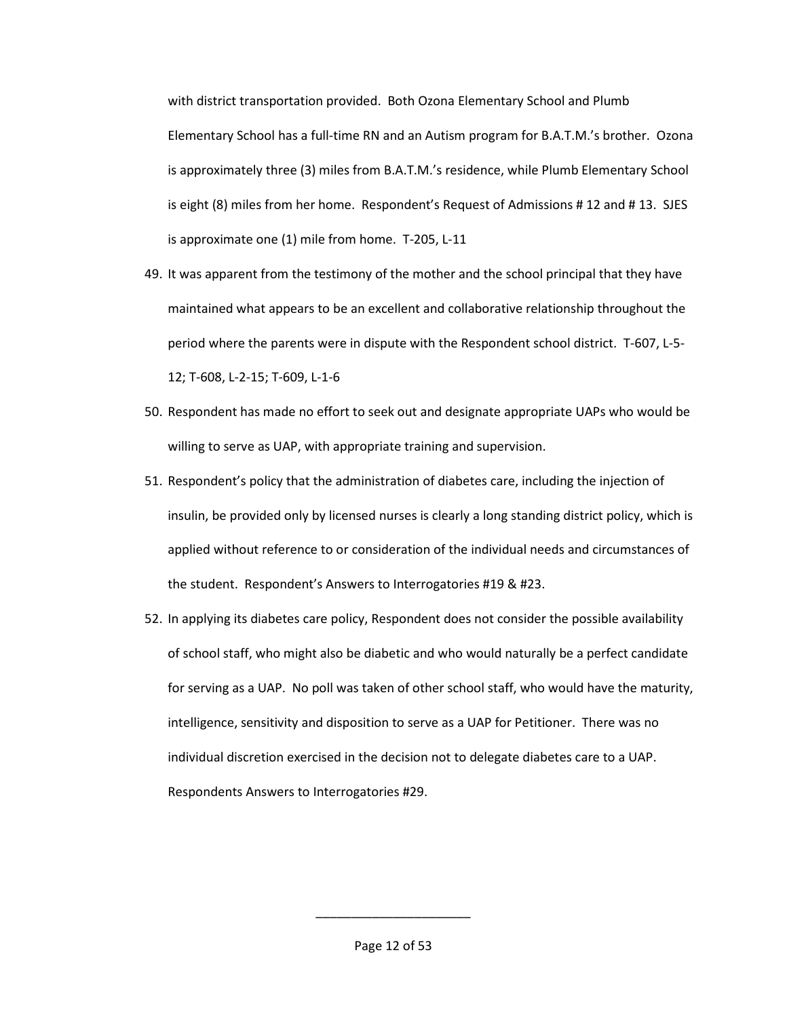with district transportation provided. Both Ozona Elementary School and Plumb Elementary School has a full-time RN and an Autism program for B.A.T.M.'s brother. Ozona is approximately three (3) miles from B.A.T.M.'s residence, while Plumb Elementary School is eight (8) miles from her home. Respondent's Request of Admissions # 12 and # 13. SJES is approximate one (1) mile from home. T-205, L-11

- 49. It was apparent from the testimony of the mother and the school principal that they have maintained what appears to be an excellent and collaborative relationship throughout the period where the parents were in dispute with the Respondent school district. T-607, L-5- 12; T-608, L-2-15; T-609, L-1-6
- 50. Respondent has made no effort to seek out and designate appropriate UAPs who would be willing to serve as UAP, with appropriate training and supervision.
- 51. Respondent's policy that the administration of diabetes care, including the injection of insulin, be provided only by licensed nurses is clearly a long standing district policy, which is applied without reference to or consideration of the individual needs and circumstances of the student. Respondent's Answers to Interrogatories #19 & #23.
- 52. In applying its diabetes care policy, Respondent does not consider the possible availability of school staff, who might also be diabetic and who would naturally be a perfect candidate for serving as a UAP. No poll was taken of other school staff, who would have the maturity, intelligence, sensitivity and disposition to serve as a UAP for Petitioner. There was no individual discretion exercised in the decision not to delegate diabetes care to a UAP. Respondents Answers to Interrogatories #29.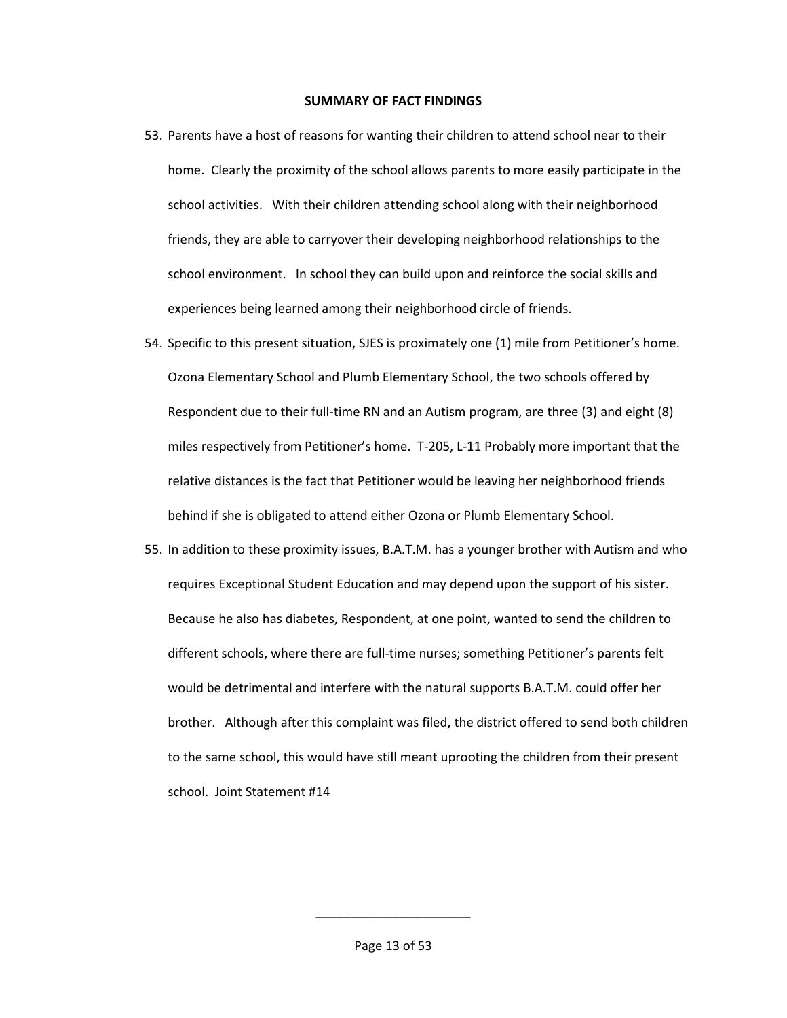#### **SUMMARY OF FACT FINDINGS**

- 53. Parents have a host of reasons for wanting their children to attend school near to their home. Clearly the proximity of the school allows parents to more easily participate in the school activities. With their children attending school along with their neighborhood friends, they are able to carryover their developing neighborhood relationships to the school environment. In school they can build upon and reinforce the social skills and experiences being learned among their neighborhood circle of friends.
- 54. Specific to this present situation, SJES is proximately one (1) mile from Petitioner's home. Ozona Elementary School and Plumb Elementary School, the two schools offered by Respondent due to their full-time RN and an Autism program, are three (3) and eight (8) miles respectively from Petitioner's home. T-205, L-11 Probably more important that the relative distances is the fact that Petitioner would be leaving her neighborhood friends behind if she is obligated to attend either Ozona or Plumb Elementary School.
- 55. In addition to these proximity issues, B.A.T.M. has a younger brother with Autism and who requires Exceptional Student Education and may depend upon the support of his sister. Because he also has diabetes, Respondent, at one point, wanted to send the children to different schools, where there are full-time nurses; something Petitioner's parents felt would be detrimental and interfere with the natural supports B.A.T.M. could offer her brother. Although after this complaint was filed, the district offered to send both children to the same school, this would have still meant uprooting the children from their present school. Joint Statement #14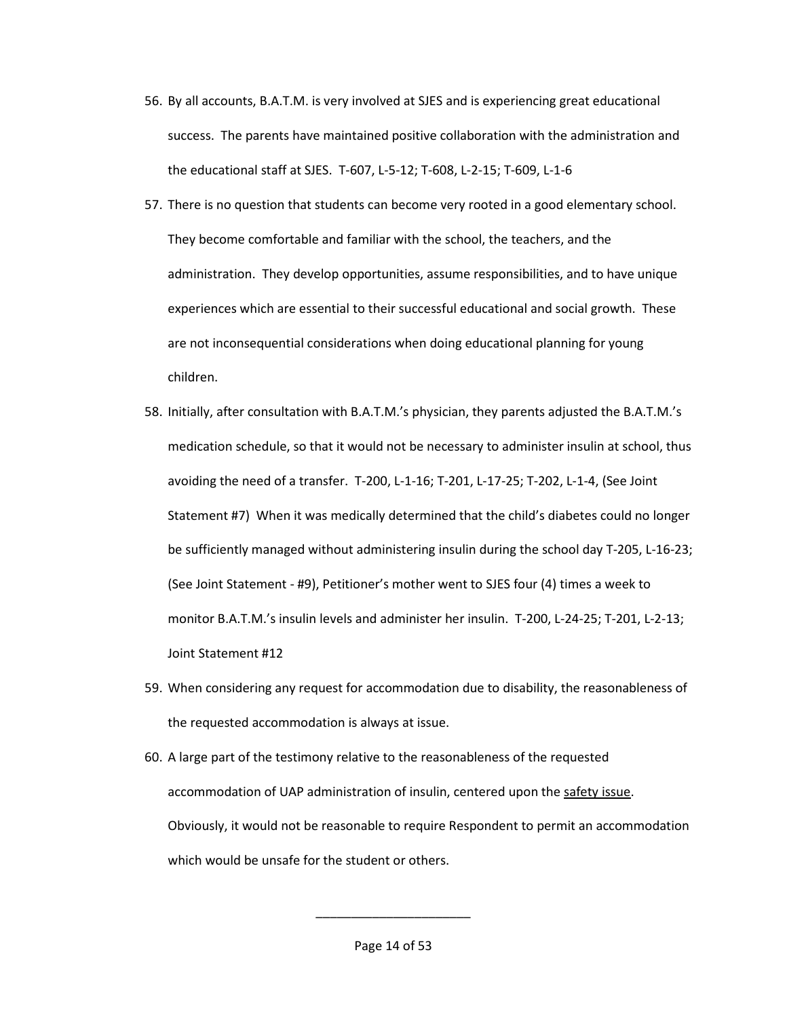- 56. By all accounts, B.A.T.M. is very involved at SJES and is experiencing great educational success. The parents have maintained positive collaboration with the administration and the educational staff at SJES. T-607, L-5-12; T-608, L-2-15; T-609, L-1-6
- 57. There is no question that students can become very rooted in a good elementary school. They become comfortable and familiar with the school, the teachers, and the administration. They develop opportunities, assume responsibilities, and to have unique experiences which are essential to their successful educational and social growth. These are not inconsequential considerations when doing educational planning for young children.
- 58. Initially, after consultation with B.A.T.M.'s physician, they parents adjusted the B.A.T.M.'s medication schedule, so that it would not be necessary to administer insulin at school, thus avoiding the need of a transfer. T-200, L-1-16; T-201, L-17-25; T-202, L-1-4, (See Joint Statement #7) When it was medically determined that the child's diabetes could no longer be sufficiently managed without administering insulin during the school day T-205, L-16-23; (See Joint Statement - #9), Petitioner's mother went to SJES four (4) times a week to monitor B.A.T.M.'s insulin levels and administer her insulin. T-200, L-24-25; T-201, L-2-13; Joint Statement #12
- 59. When considering any request for accommodation due to disability, the reasonableness of the requested accommodation is always at issue.
- 60. A large part of the testimony relative to the reasonableness of the requested accommodation of UAP administration of insulin, centered upon the safety issue. Obviously, it would not be reasonable to require Respondent to permit an accommodation which would be unsafe for the student or others.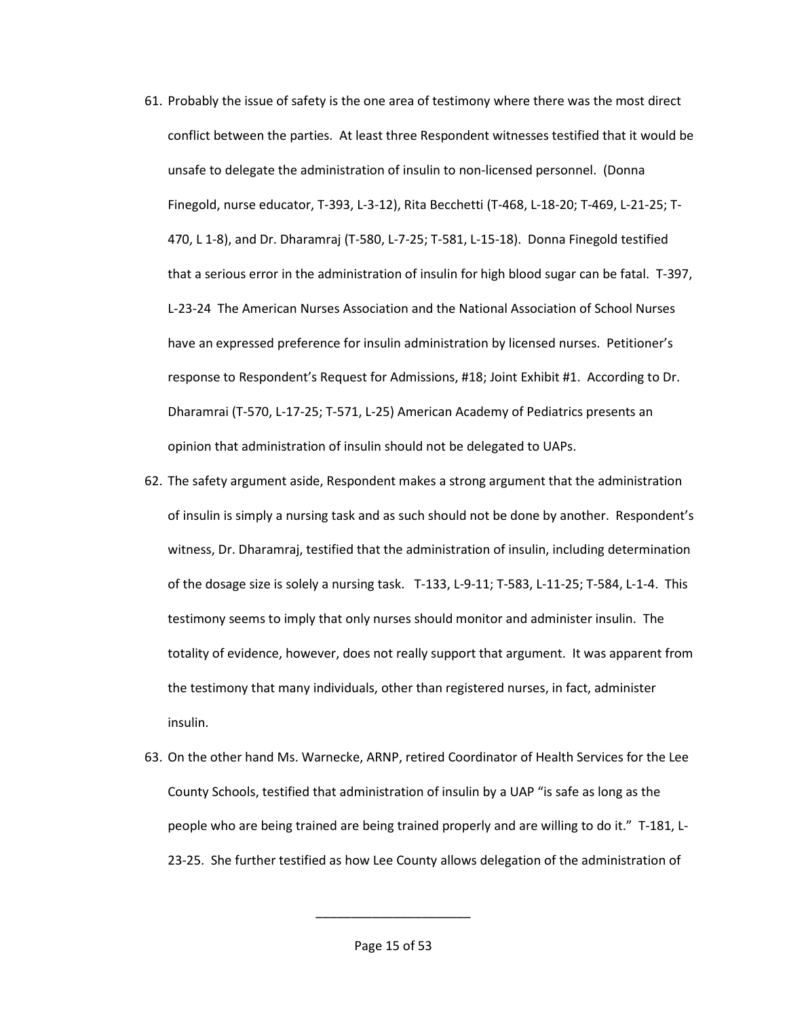- 61. Probably the issue of safety is the one area of testimony where there was the most direct conflict between the parties. At least three Respondent witnesses testified that it would be unsafe to delegate the administration of insulin to non-licensed personnel. (Donna Finegold, nurse educator, T-393, L-3-12), Rita Becchetti (T-468, L-18-20; T-469, L-21-25; T-470, L 1-8), and Dr. Dharamraj (T-580, L-7-25; T-581, L-15-18). Donna Finegold testified that a serious error in the administration of insulin for high blood sugar can be fatal. T-397, L-23-24 The American Nurses Association and the National Association of School Nurses have an expressed preference for insulin administration by licensed nurses. Petitioner's response to Respondent's Request for Admissions, #18; Joint Exhibit #1. According to Dr. Dharamrai (T-570, L-17-25; T-571, L-25) American Academy of Pediatrics presents an opinion that administration of insulin should not be delegated to UAPs.
- 62. The safety argument aside, Respondent makes a strong argument that the administration of insulin is simply a nursing task and as such should not be done by another. Respondent's witness, Dr. Dharamraj, testified that the administration of insulin, including determination of the dosage size is solely a nursing task. T-133, L-9-11; T-583, L-11-25; T-584, L-1-4. This testimony seems to imply that only nurses should monitor and administer insulin. The totality of evidence, however, does not really support that argument. It was apparent from the testimony that many individuals, other than registered nurses, in fact, administer insulin.
- 63. On the other hand Ms. Warnecke, ARNP, retired Coordinator of Health Services for the Lee County Schools, testified that administration of insulin by a UAP "is safe as long as the people who are being trained are being trained properly and are willing to do it." T-181, L-23-25. She further testified as how Lee County allows delegation of the administration of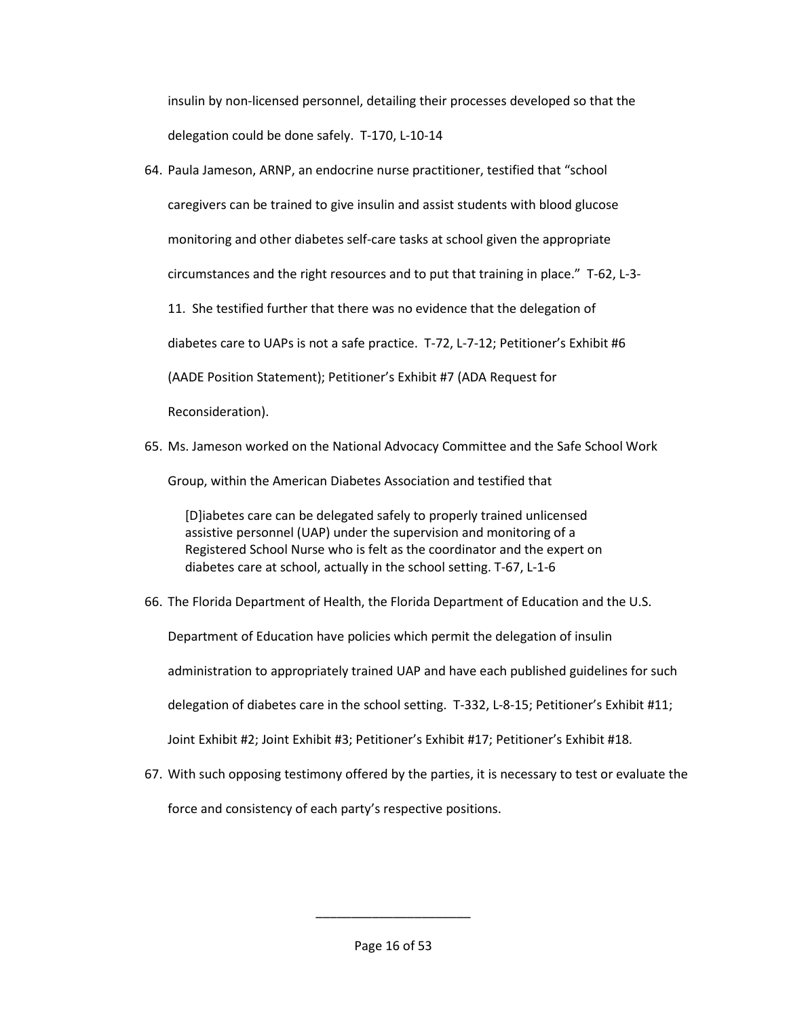insulin by non-licensed personnel, detailing their processes developed so that the delegation could be done safely. T-170, L-10-14

- 64. Paula Jameson, ARNP, an endocrine nurse practitioner, testified that "school caregivers can be trained to give insulin and assist students with blood glucose monitoring and other diabetes self-care tasks at school given the appropriate circumstances and the right resources and to put that training in place." T-62, L-3- 11. She testified further that there was no evidence that the delegation of diabetes care to UAPs is not a safe practice. T-72, L-7-12; Petitioner's Exhibit #6 (AADE Position Statement); Petitioner's Exhibit #7 (ADA Request for Reconsideration).
- 65. Ms. Jameson worked on the National Advocacy Committee and the Safe School Work

Group, within the American Diabetes Association and testified that

[D]iabetes care can be delegated safely to properly trained unlicensed assistive personnel (UAP) under the supervision and monitoring of a Registered School Nurse who is felt as the coordinator and the expert on diabetes care at school, actually in the school setting. T-67, L-1-6

66. The Florida Department of Health, the Florida Department of Education and the U.S.

Department of Education have policies which permit the delegation of insulin

administration to appropriately trained UAP and have each published guidelines for such

delegation of diabetes care in the school setting. T-332, L-8-15; Petitioner's Exhibit #11;

Joint Exhibit #2; Joint Exhibit #3; Petitioner's Exhibit #17; Petitioner's Exhibit #18.

67. With such opposing testimony offered by the parties, it is necessary to test or evaluate the force and consistency of each party's respective positions.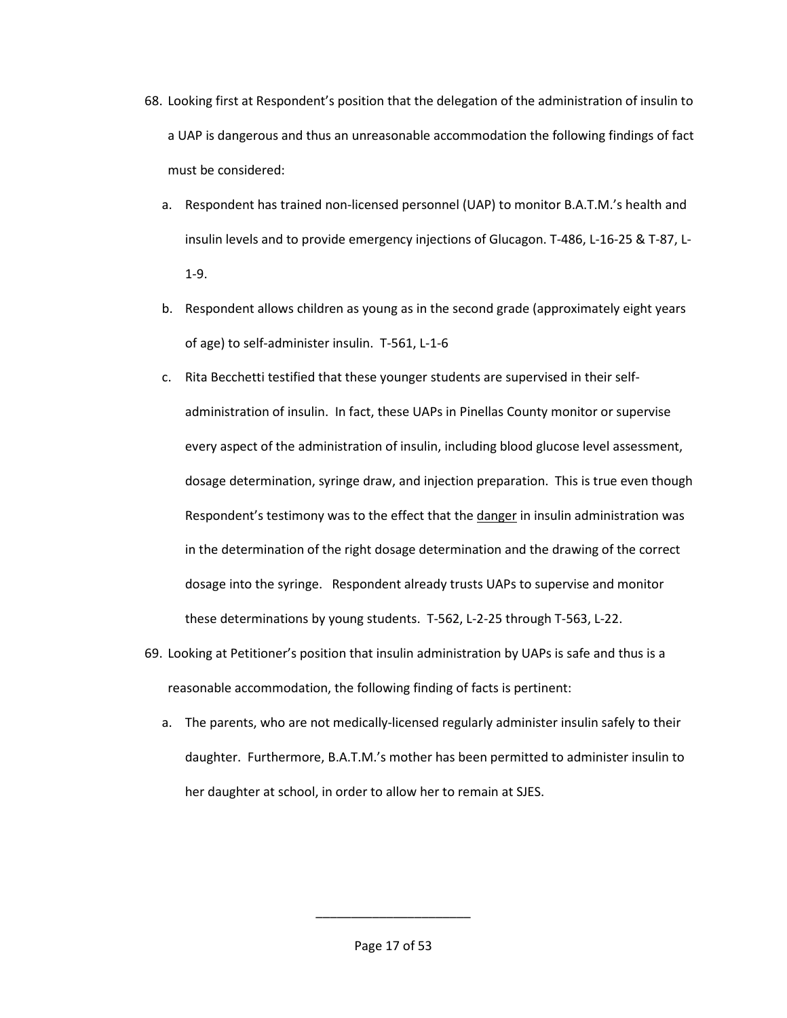- 68. Looking first at Respondent's position that the delegation of the administration of insulin to a UAP is dangerous and thus an unreasonable accommodation the following findings of fact must be considered:
	- a. Respondent has trained non-licensed personnel (UAP) to monitor B.A.T.M.'s health and insulin levels and to provide emergency injections of Glucagon. T-486, L-16-25 & T-87, L-1-9.
	- b. Respondent allows children as young as in the second grade (approximately eight years of age) to self-administer insulin. T-561, L-1-6
	- c. Rita Becchetti testified that these younger students are supervised in their selfadministration of insulin. In fact, these UAPs in Pinellas County monitor or supervise every aspect of the administration of insulin, including blood glucose level assessment, dosage determination, syringe draw, and injection preparation. This is true even though Respondent's testimony was to the effect that the danger in insulin administration was in the determination of the right dosage determination and the drawing of the correct dosage into the syringe. Respondent already trusts UAPs to supervise and monitor these determinations by young students. T-562, L-2-25 through T-563, L-22.
- 69. Looking at Petitioner's position that insulin administration by UAPs is safe and thus is a reasonable accommodation, the following finding of facts is pertinent:
	- a. The parents, who are not medically-licensed regularly administer insulin safely to their daughter. Furthermore, B.A.T.M.'s mother has been permitted to administer insulin to her daughter at school, in order to allow her to remain at SJES.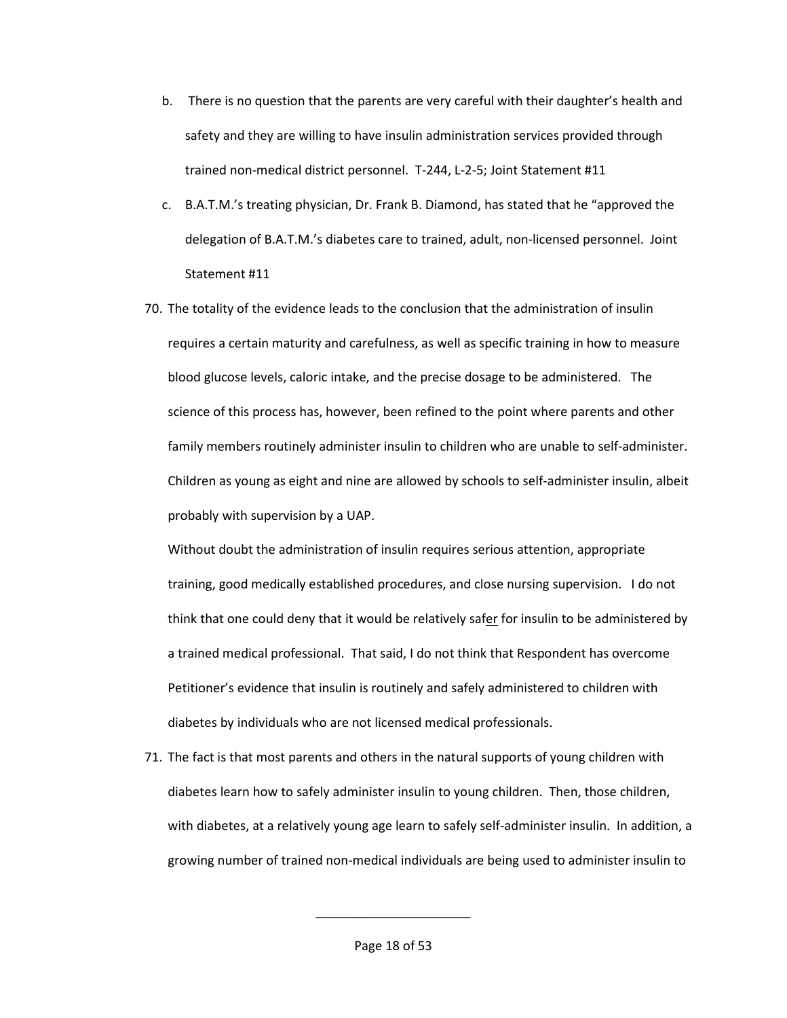- b. There is no question that the parents are very careful with their daughter's health and safety and they are willing to have insulin administration services provided through trained non-medical district personnel. T-244, L-2-5; Joint Statement #11
- c. B.A.T.M.'s treating physician, Dr. Frank B. Diamond, has stated that he "approved the delegation of B.A.T.M.'s diabetes care to trained, adult, non-licensed personnel. Joint Statement #11
- 70. The totality of the evidence leads to the conclusion that the administration of insulin requires a certain maturity and carefulness, as well as specific training in how to measure blood glucose levels, caloric intake, and the precise dosage to be administered. The science of this process has, however, been refined to the point where parents and other family members routinely administer insulin to children who are unable to self-administer. Children as young as eight and nine are allowed by schools to self-administer insulin, albeit probably with supervision by a UAP.

Without doubt the administration of insulin requires serious attention, appropriate training, good medically established procedures, and close nursing supervision. I do not think that one could deny that it would be relatively safer for insulin to be administered by a trained medical professional. That said, I do not think that Respondent has overcome Petitioner's evidence that insulin is routinely and safely administered to children with diabetes by individuals who are not licensed medical professionals.

71. The fact is that most parents and others in the natural supports of young children with diabetes learn how to safely administer insulin to young children. Then, those children, with diabetes, at a relatively young age learn to safely self-administer insulin. In addition, a growing number of trained non-medical individuals are being used to administer insulin to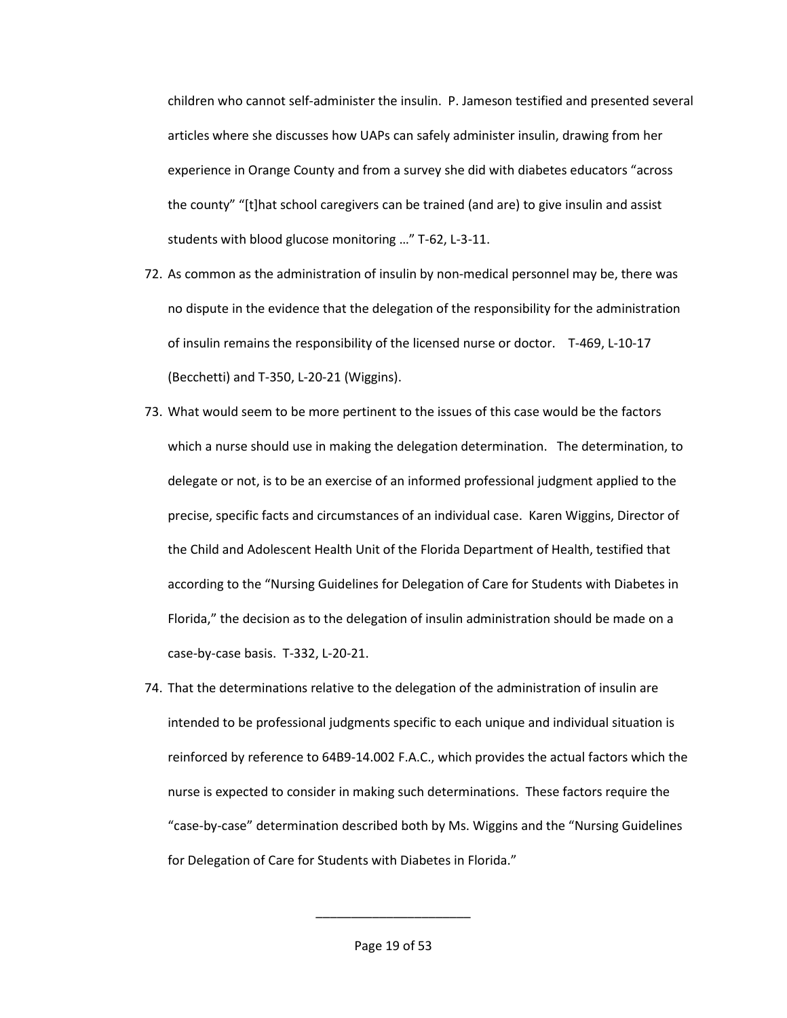children who cannot self-administer the insulin. P. Jameson testified and presented several articles where she discusses how UAPs can safely administer insulin, drawing from her experience in Orange County and from a survey she did with diabetes educators "across the county" "[t]hat school caregivers can be trained (and are) to give insulin and assist students with blood glucose monitoring …" T-62, L-3-11.

- 72. As common as the administration of insulin by non-medical personnel may be, there was no dispute in the evidence that the delegation of the responsibility for the administration of insulin remains the responsibility of the licensed nurse or doctor. T-469, L-10-17 (Becchetti) and T-350, L-20-21 (Wiggins).
- 73. What would seem to be more pertinent to the issues of this case would be the factors which a nurse should use in making the delegation determination. The determination, to delegate or not, is to be an exercise of an informed professional judgment applied to the precise, specific facts and circumstances of an individual case. Karen Wiggins, Director of the Child and Adolescent Health Unit of the Florida Department of Health, testified that according to the "Nursing Guidelines for Delegation of Care for Students with Diabetes in Florida," the decision as to the delegation of insulin administration should be made on a case-by-case basis. T-332, L-20-21.
- 74. That the determinations relative to the delegation of the administration of insulin are intended to be professional judgments specific to each unique and individual situation is reinforced by reference to 64B9-14.002 F.A.C., which provides the actual factors which the nurse is expected to consider in making such determinations. These factors require the "case-by-case" determination described both by Ms. Wiggins and the "Nursing Guidelines for Delegation of Care for Students with Diabetes in Florida."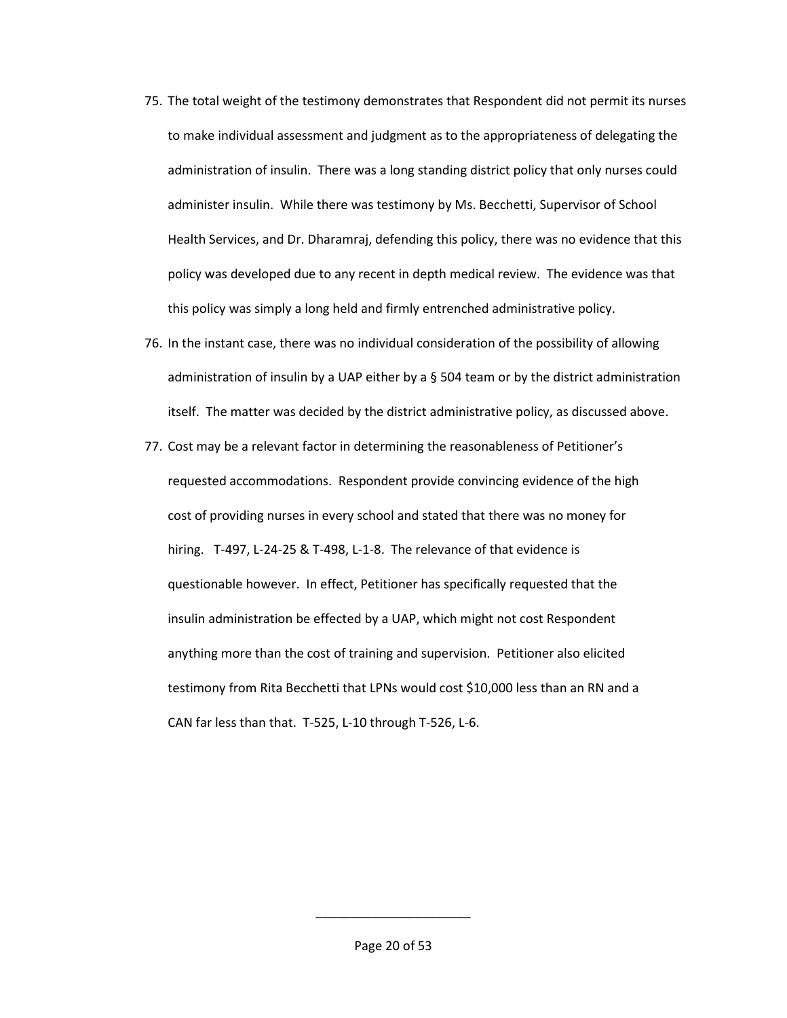- 75. The total weight of the testimony demonstrates that Respondent did not permit its nurses to make individual assessment and judgment as to the appropriateness of delegating the administration of insulin. There was a long standing district policy that only nurses could administer insulin. While there was testimony by Ms. Becchetti, Supervisor of School Health Services, and Dr. Dharamraj, defending this policy, there was no evidence that this policy was developed due to any recent in depth medical review. The evidence was that this policy was simply a long held and firmly entrenched administrative policy.
- 76. In the instant case, there was no individual consideration of the possibility of allowing administration of insulin by a UAP either by a § 504 team or by the district administration itself. The matter was decided by the district administrative policy, as discussed above.
- 77. Cost may be a relevant factor in determining the reasonableness of Petitioner's requested accommodations. Respondent provide convincing evidence of the high cost of providing nurses in every school and stated that there was no money for hiring. T-497, L-24-25 & T-498, L-1-8. The relevance of that evidence is questionable however. In effect, Petitioner has specifically requested that the insulin administration be effected by a UAP, which might not cost Respondent anything more than the cost of training and supervision. Petitioner also elicited testimony from Rita Becchetti that LPNs would cost \$10,000 less than an RN and a CAN far less than that. T-525, L-10 through T-526, L-6.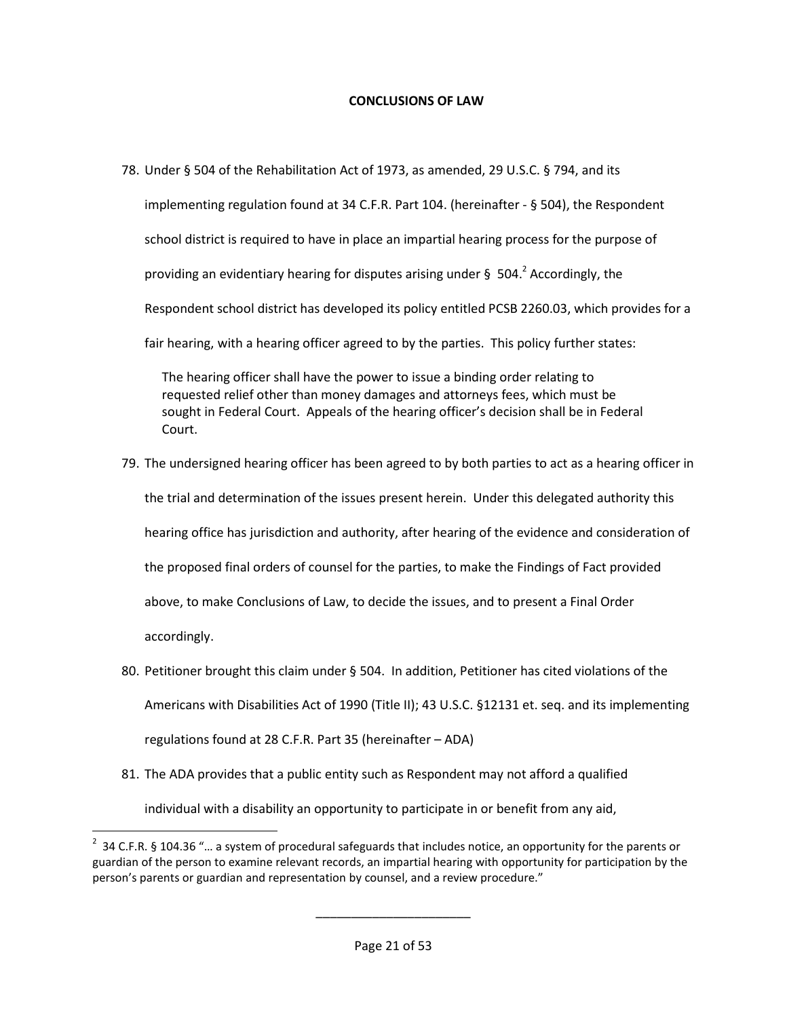## **CONCLUSIONS OF LAW**

78. Under § 504 of the Rehabilitation Act of 1973, as amended, 29 U.S.C. § 794, and its implementing regulation found at 34 C.F.R. Part 104. (hereinafter - § 504), the Respondent school district is required to have in place an impartial hearing process for the purpose of providing an evidentiary hearing for disputes arising under § 504.<sup>2</sup> Accordingly, the Respondent school district has developed its policy entitled PCSB 2260.03, which provides for a fair hearing, with a hearing officer agreed to by the parties. This policy further states:

The hearing officer shall have the power to issue a binding order relating to requested relief other than money damages and attorneys fees, which must be sought in Federal Court. Appeals of the hearing officer's decision shall be in Federal Court.

- 79. The undersigned hearing officer has been agreed to by both parties to act as a hearing officer in the trial and determination of the issues present herein. Under this delegated authority this hearing office has jurisdiction and authority, after hearing of the evidence and consideration of the proposed final orders of counsel for the parties, to make the Findings of Fact provided above, to make Conclusions of Law, to decide the issues, and to present a Final Order accordingly.
- 80. Petitioner brought this claim under § 504. In addition, Petitioner has cited violations of the Americans with Disabilities Act of 1990 (Title II); 43 U.S.C. §12131 et. seq. and its implementing regulations found at 28 C.F.R. Part 35 (hereinafter – ADA)
- 81. The ADA provides that a public entity such as Respondent may not afford a qualified individual with a disability an opportunity to participate in or benefit from any aid,

 $\overline{a}$ 

 $2$  34 C.F.R. § 104.36 "... a system of procedural safeguards that includes notice, an opportunity for the parents or guardian of the person to examine relevant records, an impartial hearing with opportunity for participation by the person's parents or guardian and representation by counsel, and a review procedure."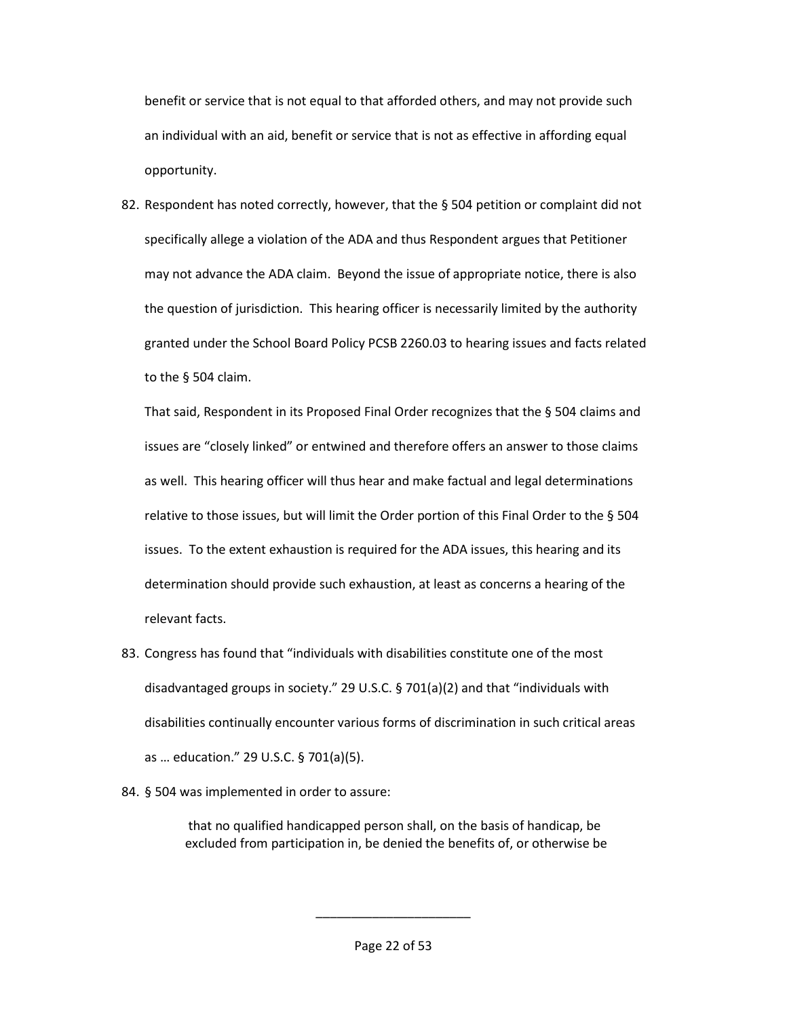benefit or service that is not equal to that afforded others, and may not provide such an individual with an aid, benefit or service that is not as effective in affording equal opportunity.

82. Respondent has noted correctly, however, that the § 504 petition or complaint did not specifically allege a violation of the ADA and thus Respondent argues that Petitioner may not advance the ADA claim. Beyond the issue of appropriate notice, there is also the question of jurisdiction. This hearing officer is necessarily limited by the authority granted under the School Board Policy PCSB 2260.03 to hearing issues and facts related to the § 504 claim.

That said, Respondent in its Proposed Final Order recognizes that the  $\S$  504 claims and issues are "closely linked" or entwined and therefore offers an answer to those claims as well. This hearing officer will thus hear and make factual and legal determinations relative to those issues, but will limit the Order portion of this Final Order to the § 504 issues. To the extent exhaustion is required for the ADA issues, this hearing and its determination should provide such exhaustion, at least as concerns a hearing of the relevant facts.

- 83. Congress has found that "individuals with disabilities constitute one of the most disadvantaged groups in society." 29 U.S.C. § 701(a)(2) and that "individuals with disabilities continually encounter various forms of discrimination in such critical areas as … education." 29 U.S.C. § 701(a)(5).
- 84. § 504 was implemented in order to assure:

 that no qualified handicapped person shall, on the basis of handicap, be excluded from participation in, be denied the benefits of, or otherwise be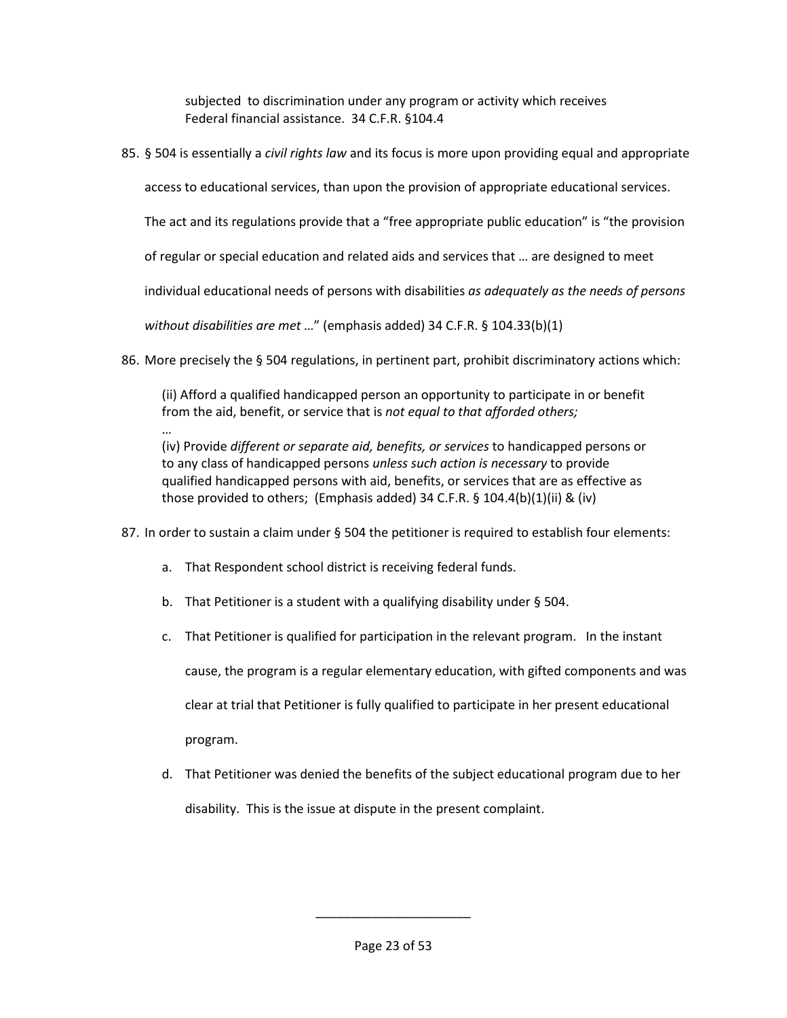subjected to discrimination under any program or activity which receives Federal financial assistance. 34 C.F.R. §104.4

85. § 504 is essentially a *civil rights law* and its focus is more upon providing equal and appropriate

access to educational services, than upon the provision of appropriate educational services.

The act and its regulations provide that a "free appropriate public education" is "the provision

of regular or special education and related aids and services that … are designed to meet

individual educational needs of persons with disabilities *as adequately as the needs of persons* 

*without disabilities are met* …" (emphasis added) 34 C.F.R. § 104.33(b)(1)

86. More precisely the § 504 regulations, in pertinent part, prohibit discriminatory actions which:

(ii) Afford a qualified handicapped person an opportunity to participate in or benefit from the aid, benefit, or service that is *not equal to that afforded others;* 

… (iv) Provide *different or separate aid, benefits, or services* to handicapped persons or to any class of handicapped persons *unless such action is necessary* to provide qualified handicapped persons with aid, benefits, or services that are as effective as those provided to others; (Emphasis added) 34 C.F.R. § 104.4(b)(1)(ii) & (iv)

- 87. In order to sustain a claim under § 504 the petitioner is required to establish four elements:
	- a. That Respondent school district is receiving federal funds.
	- b. That Petitioner is a student with a qualifying disability under § 504.
	- c. That Petitioner is qualified for participation in the relevant program. In the instant

cause, the program is a regular elementary education, with gifted components and was clear at trial that Petitioner is fully qualified to participate in her present educational program.

d. That Petitioner was denied the benefits of the subject educational program due to her disability. This is the issue at dispute in the present complaint.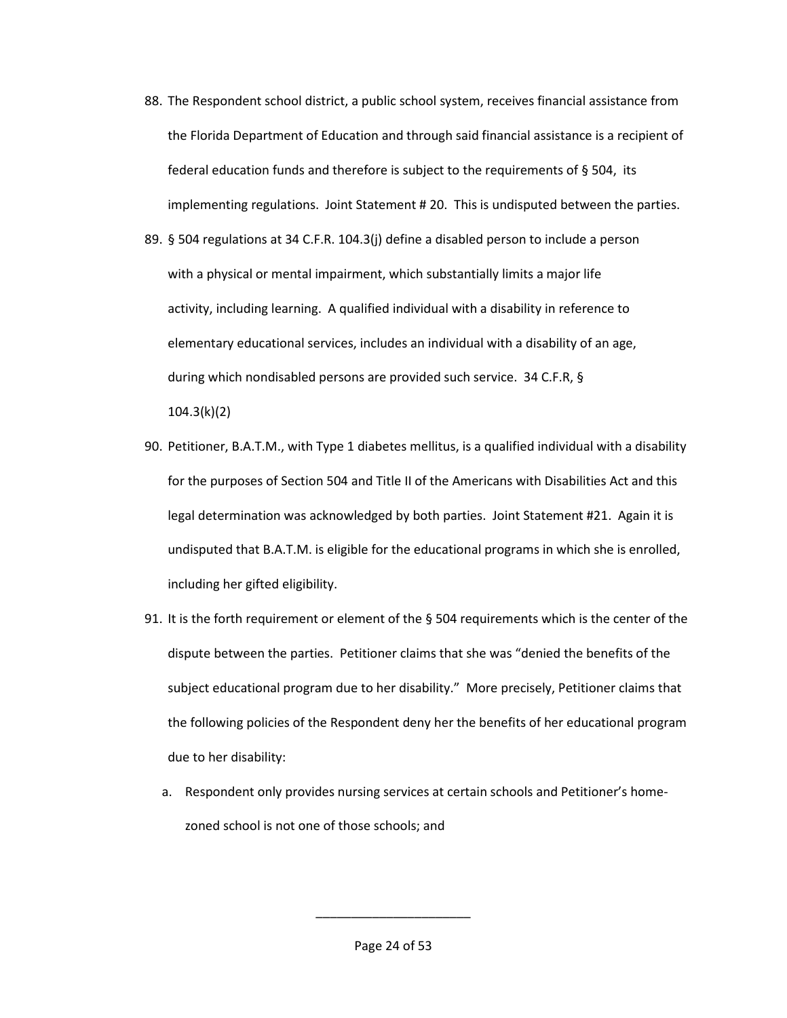88. The Respondent school district, a public school system, receives financial assistance from the Florida Department of Education and through said financial assistance is a recipient of federal education funds and therefore is subject to the requirements of § 504, its implementing regulations. Joint Statement # 20. This is undisputed between the parties.

89. § 504 regulations at 34 C.F.R. 104.3(j) define a disabled person to include a person with a physical or mental impairment, which substantially limits a major life activity, including learning. A qualified individual with a disability in reference to elementary educational services, includes an individual with a disability of an age, during which nondisabled persons are provided such service. 34 C.F.R, § 104.3(k)(2)

- 90. Petitioner, B.A.T.M., with Type 1 diabetes mellitus, is a qualified individual with a disability for the purposes of Section 504 and Title II of the Americans with Disabilities Act and this legal determination was acknowledged by both parties. Joint Statement #21. Again it is undisputed that B.A.T.M. is eligible for the educational programs in which she is enrolled, including her gifted eligibility.
- 91. It is the forth requirement or element of the § 504 requirements which is the center of the dispute between the parties. Petitioner claims that she was "denied the benefits of the subject educational program due to her disability." More precisely, Petitioner claims that the following policies of the Respondent deny her the benefits of her educational program due to her disability:
	- a. Respondent only provides nursing services at certain schools and Petitioner's homezoned school is not one of those schools; and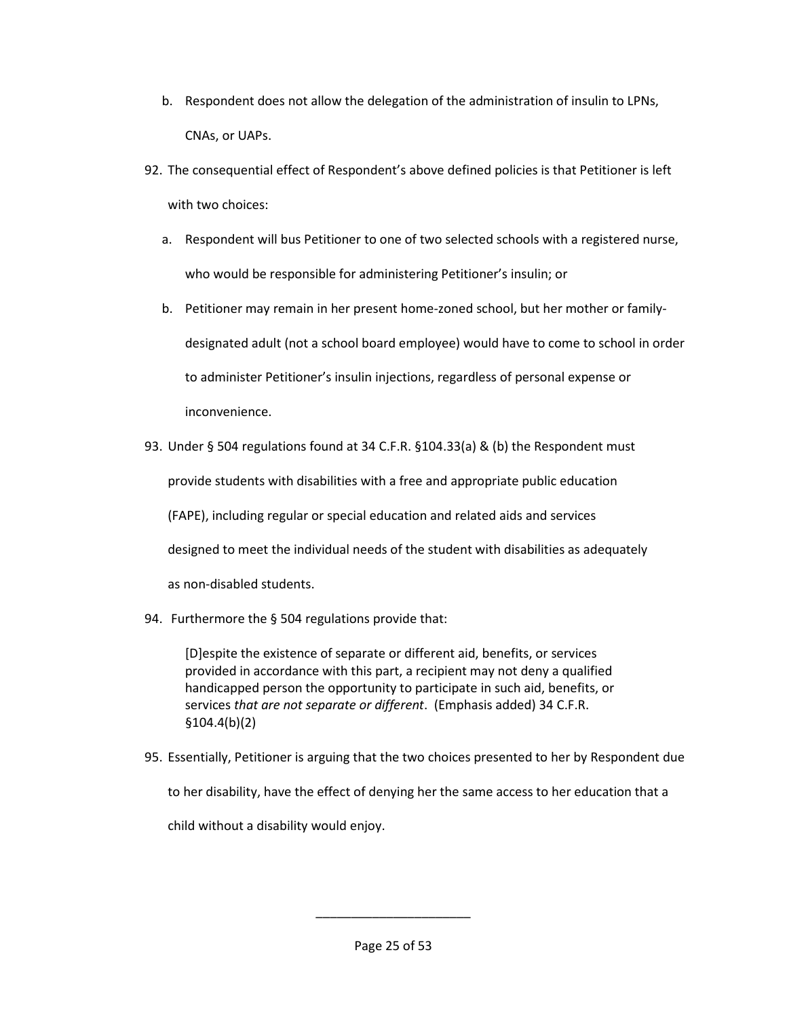- b. Respondent does not allow the delegation of the administration of insulin to LPNs, CNAs, or UAPs.
- 92. The consequential effect of Respondent's above defined policies is that Petitioner is left with two choices:
	- a. Respondent will bus Petitioner to one of two selected schools with a registered nurse, who would be responsible for administering Petitioner's insulin; or
	- b. Petitioner may remain in her present home-zoned school, but her mother or familydesignated adult (not a school board employee) would have to come to school in order to administer Petitioner's insulin injections, regardless of personal expense or inconvenience.
- 93. Under § 504 regulations found at 34 C.F.R. §104.33(a) & (b) the Respondent must

provide students with disabilities with a free and appropriate public education

(FAPE), including regular or special education and related aids and services

designed to meet the individual needs of the student with disabilities as adequately

as non-disabled students.

94. Furthermore the § 504 regulations provide that:

[D]espite the existence of separate or different aid, benefits, or services provided in accordance with this part, a recipient may not deny a qualified handicapped person the opportunity to participate in such aid, benefits, or services *that are not separate or different*. (Emphasis added) 34 C.F.R. §104.4(b)(2)

95. Essentially, Petitioner is arguing that the two choices presented to her by Respondent due

to her disability, have the effect of denying her the same access to her education that a

child without a disability would enjoy.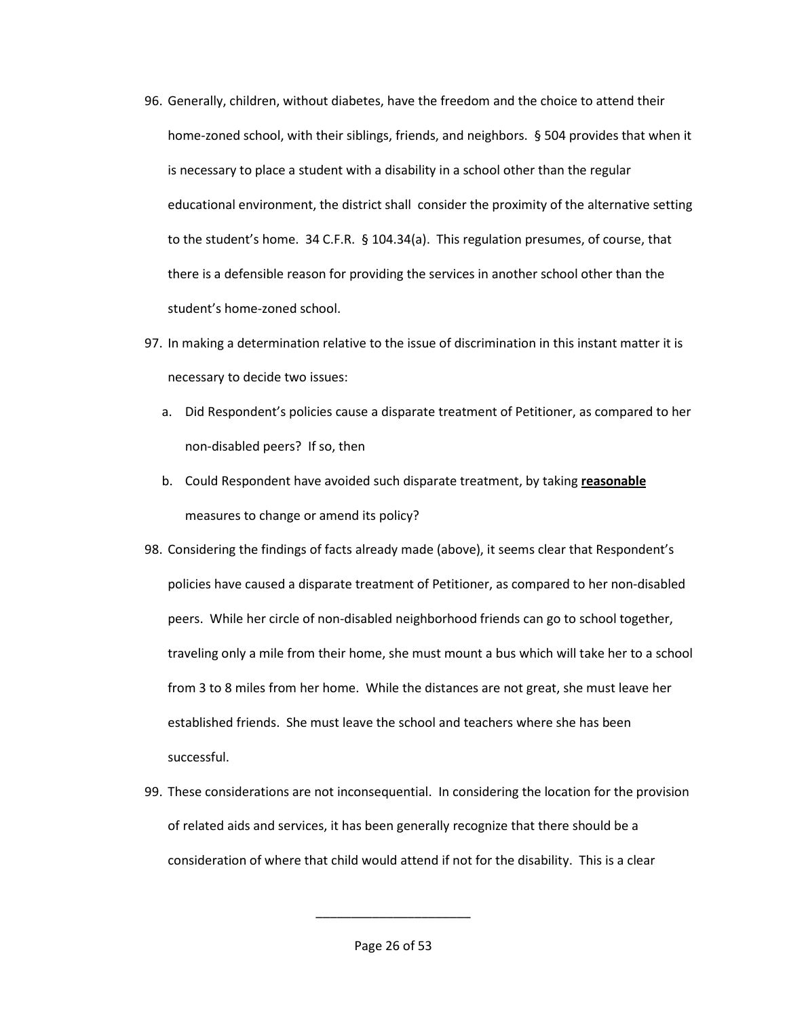- 96. Generally, children, without diabetes, have the freedom and the choice to attend their home-zoned school, with their siblings, friends, and neighbors. § 504 provides that when it is necessary to place a student with a disability in a school other than the regular educational environment, the district shall consider the proximity of the alternative setting to the student's home. 34 C.F.R. § 104.34(a). This regulation presumes, of course, that there is a defensible reason for providing the services in another school other than the student's home-zoned school.
- 97. In making a determination relative to the issue of discrimination in this instant matter it is necessary to decide two issues:
	- a. Did Respondent's policies cause a disparate treatment of Petitioner, as compared to her non-disabled peers? If so, then
	- b. Could Respondent have avoided such disparate treatment, by taking **reasonable** measures to change or amend its policy?
- 98. Considering the findings of facts already made (above), it seems clear that Respondent's policies have caused a disparate treatment of Petitioner, as compared to her non-disabled peers. While her circle of non-disabled neighborhood friends can go to school together, traveling only a mile from their home, she must mount a bus which will take her to a school from 3 to 8 miles from her home. While the distances are not great, she must leave her established friends. She must leave the school and teachers where she has been successful.
- 99. These considerations are not inconsequential. In considering the location for the provision of related aids and services, it has been generally recognize that there should be a consideration of where that child would attend if not for the disability. This is a clear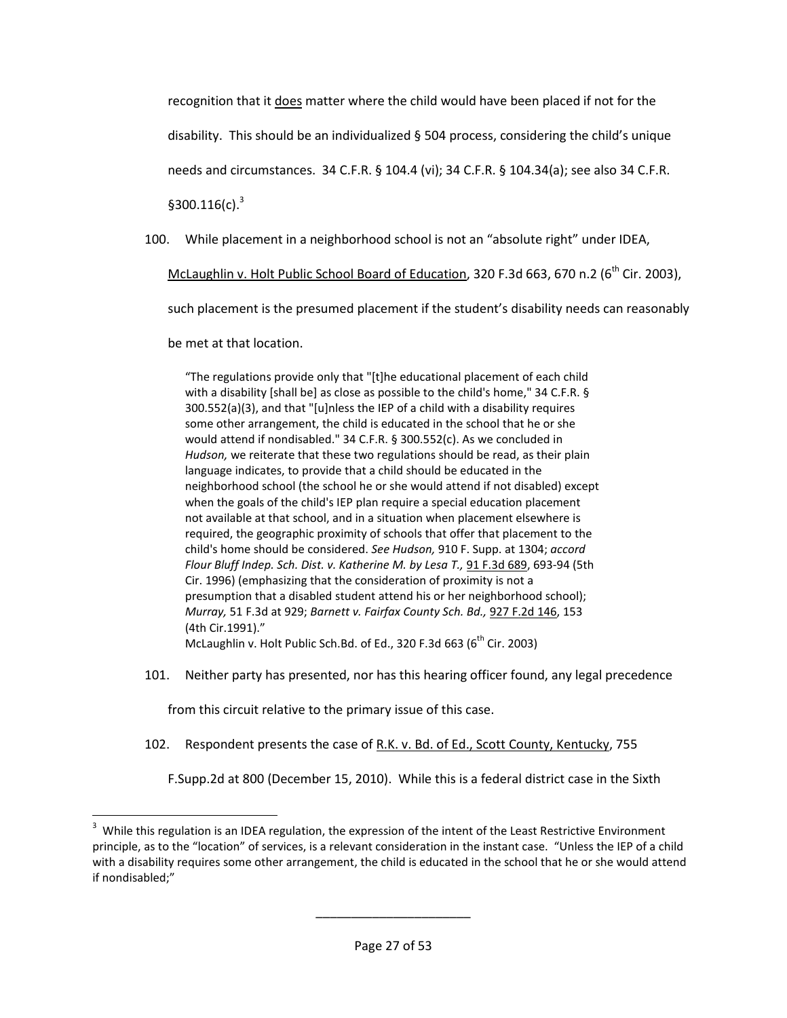recognition that it does matter where the child would have been placed if not for the

disability. This should be an individualized  $\S$  504 process, considering the child's unique

needs and circumstances. 34 C.F.R. § 104.4 (vi); 34 C.F.R. § 104.34(a); see also 34 C.F.R.

 $$300.116(c).$ <sup>3</sup>

l

100. While placement in a neighborhood school is not an "absolute right" under IDEA,

McLaughlin v. Holt Public School Board of Education, 320 F.3d 663, 670 n.2 ( $6<sup>th</sup>$  Cir. 2003),

such placement is the presumed placement if the student's disability needs can reasonably

be met at that location.

"The regulations provide only that "[t]he educational placement of each child with a disability [shall be] as close as possible to the child's home," 34 C.F.R. § 300.552(a)(3), and that "[u]nless the IEP of a child with a disability requires some other arrangement, the child is educated in the school that he or she would attend if nondisabled." 34 C.F.R. § 300.552(c). As we concluded in *Hudson,* we reiterate that these two regulations should be read, as their plain language indicates, to provide that a child should be educated in the neighborhood school (the school he or she would attend if not disabled) except when the goals of the child's IEP plan require a special education placement not available at that school, and in a situation when placement elsewhere is required, the geographic proximity of schools that offer that placement to the child's home should be considered. *See Hudson,* 910 F. Supp. at 1304; *accord Flour Bluff Indep. Sch. Dist. v. Katherine M. by Lesa T.,* [91 F.3d 689,](http://www.specialedconnection.com/LrpSecStoryTool/servlet/GetCase?cite=91+F.3d+689) 693-94 (5th Cir. 1996) (emphasizing that the consideration of proximity is not a presumption that a disabled student attend his or her neighborhood school); *Murray,* 51 F.3d at 929; *Barnett v. Fairfax County Sch. Bd.,* [927 F.2d 146,](http://www.specialedconnection.com/LrpSecStoryTool/servlet/GetCase?cite=927+F.2d+146) 153 (4th Cir.1991)." McLaughlin v. Holt Public Sch.Bd. of Ed., 320 F.3d 663 ( $6<sup>th</sup>$  Cir. 2003)

101. Neither party has presented, nor has this hearing officer found, any legal precedence

from this circuit relative to the primary issue of this case.

102. Respondent presents the case of R.K. v. Bd. of Ed., Scott County, Kentucky, 755

F.Supp.2d at 800 (December 15, 2010). While this is a federal district case in the Sixth

 $3$  While this regulation is an IDEA regulation, the expression of the intent of the Least Restrictive Environment principle, as to the "location" of services, is a relevant consideration in the instant case. "Unless the IEP of a child with a disability requires some other arrangement, the child is educated in the school that he or she would attend if nondisabled;"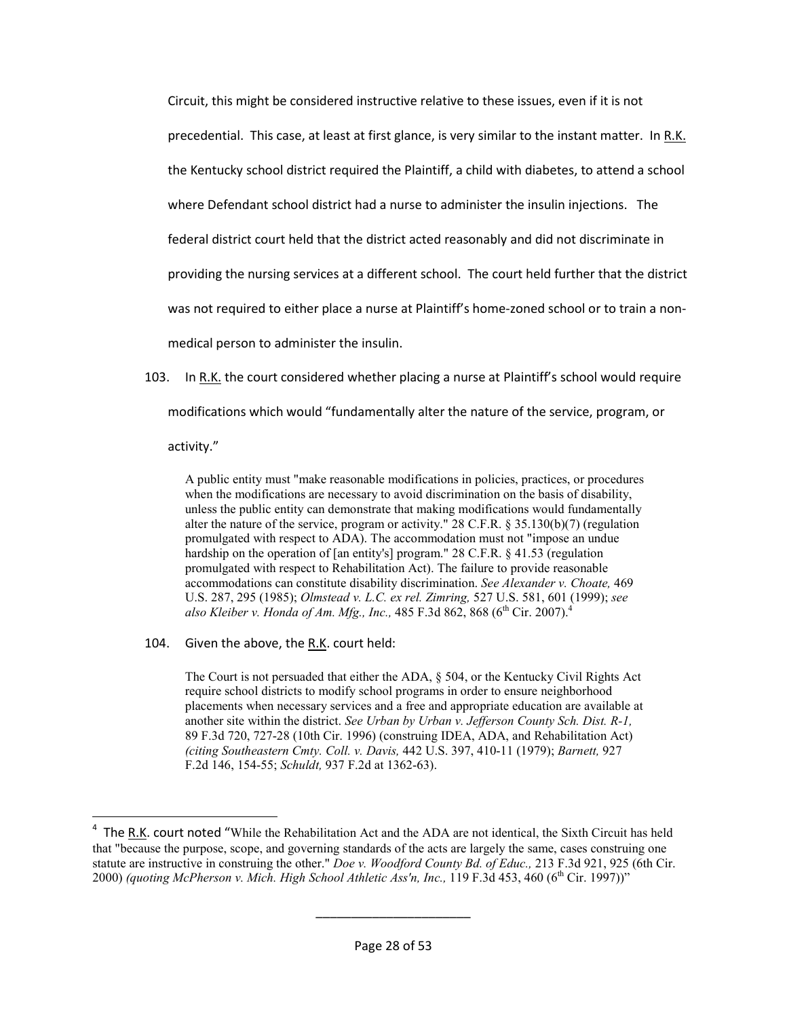Circuit, this might be considered instructive relative to these issues, even if it is not precedential. This case, at least at first glance, is very similar to the instant matter. In R.K. the Kentucky school district required the Plaintiff, a child with diabetes, to attend a school where Defendant school district had a nurse to administer the insulin injections. The federal district court held that the district acted reasonably and did not discriminate in providing the nursing services at a different school. The court held further that the district was not required to either place a nurse at Plaintiff's home-zoned school or to train a nonmedical person to administer the insulin.

103. In R.K. the court considered whether placing a nurse at Plaintiff's school would require

modifications which would "fundamentally alter the nature of the service, program, or

activity."

 $\overline{a}$ 

A public entity must "make reasonable modifications in policies, practices, or procedures when the modifications are necessary to avoid discrimination on the basis of disability, unless the public entity can demonstrate that making modifications would fundamentally alter the nature of the service, program or activity." 28 C.F.R. § 35.130(b)(7) (regulation promulgated with respect to ADA). The accommodation must not "impose an undue hardship on the operation of [an entity's] program." 28 C.F.R. § 41.53 (regulation promulgated with respect to Rehabilitation Act). The failure to provide reasonable accommodations can constitute disability discrimination. *See Alexander v. Choate,* 469 U.S. 287, 295 (1985); *Olmstead v. L.C. ex rel. Zimring,* 527 U.S. 581, 601 (1999); *see also Kleiber v. Honda of Am. Mfg., Inc., 485 F.3d 862, 868 (6<sup>th</sup> Cir. 2007).<sup>4</sup>* 

104. Given the above, the R.K. court held:

The Court is not persuaded that either the ADA, § 504, or the Kentucky Civil Rights Act require school districts to modify school programs in order to ensure neighborhood placements when necessary services and a free and appropriate education are available at another site within the district. *See Urban by Urban v. Jefferson County Sch. Dist. R-1,*  89 F.3d 720, 727-28 (10th Cir. 1996) (construing IDEA, ADA, and Rehabilitation Act) *(citing Southeastern Cmty. Coll. v. Davis,* 442 U.S. 397, 410-11 (1979); *Barnett,* 927 F.2d 146, 154-55; *Schuldt,* 937 F.2d at 1362-63).

<sup>&</sup>lt;sup>4</sup> The R.K. court noted "While the Rehabilitation Act and the ADA are not identical, the Sixth Circuit has held that "because the purpose, scope, and governing standards of the acts are largely the same, cases construing one statute are instructive in construing the other." *Doe v. Woodford County Bd. of Educ.,* 213 F.3d 921, 925 (6th Cir. 2000) *(quoting McPherson v. Mich. High School Athletic Ass'n, Inc.,* 119 F.3d 453, 460 (6<sup>th</sup> Cir. 1997))"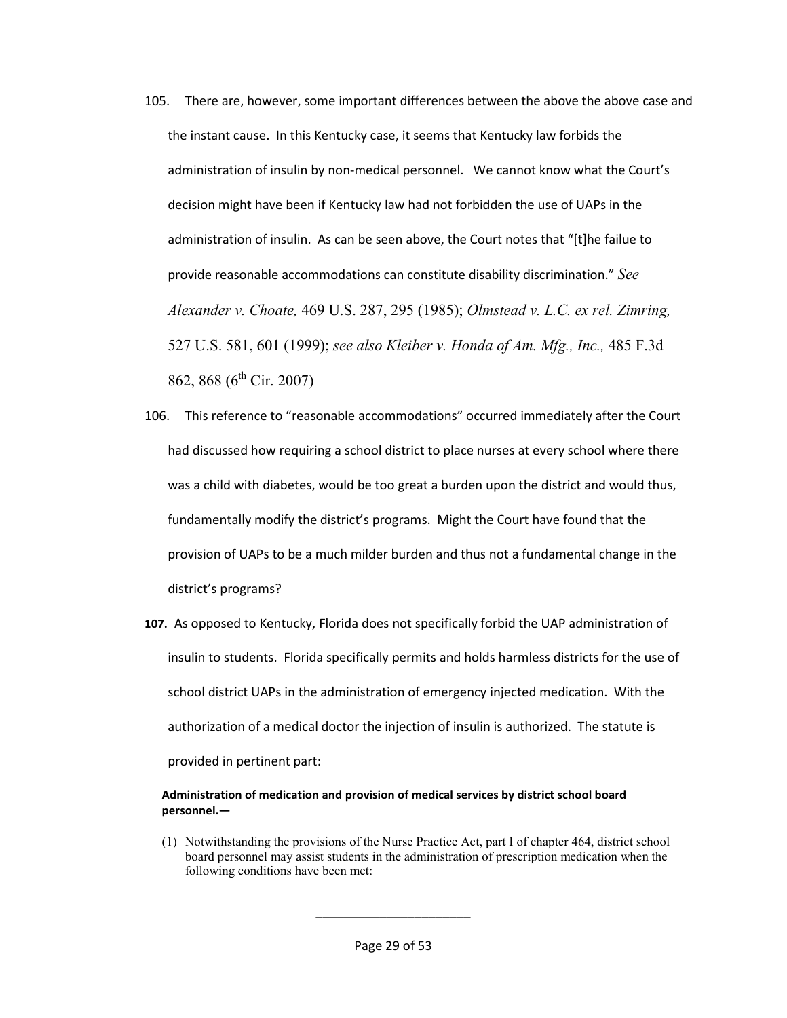- 105. There are, however, some important differences between the above the above case and the instant cause. In this Kentucky case, it seems that Kentucky law forbids the administration of insulin by non-medical personnel. We cannot know what the Court's decision might have been if Kentucky law had not forbidden the use of UAPs in the administration of insulin. As can be seen above, the Court notes that "[t]he failue to provide reasonable accommodations can constitute disability discrimination." *See Alexander v. Choate,* 469 U.S. 287, 295 (1985); *Olmstead v. L.C. ex rel. Zimring,*  527 U.S. 581, 601 (1999); *see also Kleiber v. Honda of Am. Mfg., Inc.,* 485 F.3d 862, 868 (6<sup>th</sup> Cir. 2007)
- 106. This reference to "reasonable accommodations" occurred immediately after the Court had discussed how requiring a school district to place nurses at every school where there was a child with diabetes, would be too great a burden upon the district and would thus, fundamentally modify the district's programs. Might the Court have found that the provision of UAPs to be a much milder burden and thus not a fundamental change in the district's programs?
- **107.** As opposed to Kentucky, Florida does not specifically forbid the UAP administration of insulin to students. Florida specifically permits and holds harmless districts for the use of school district UAPs in the administration of emergency injected medication. With the authorization of a medical doctor the injection of insulin is authorized. The statute is provided in pertinent part:

#### **Administration of medication and provision of medical services by district school board personnel.—**

(1) Notwithstanding the provisions of the Nurse Practice Act, part I of chapter 464, district school board personnel may assist students in the administration of prescription medication when the following conditions have been met: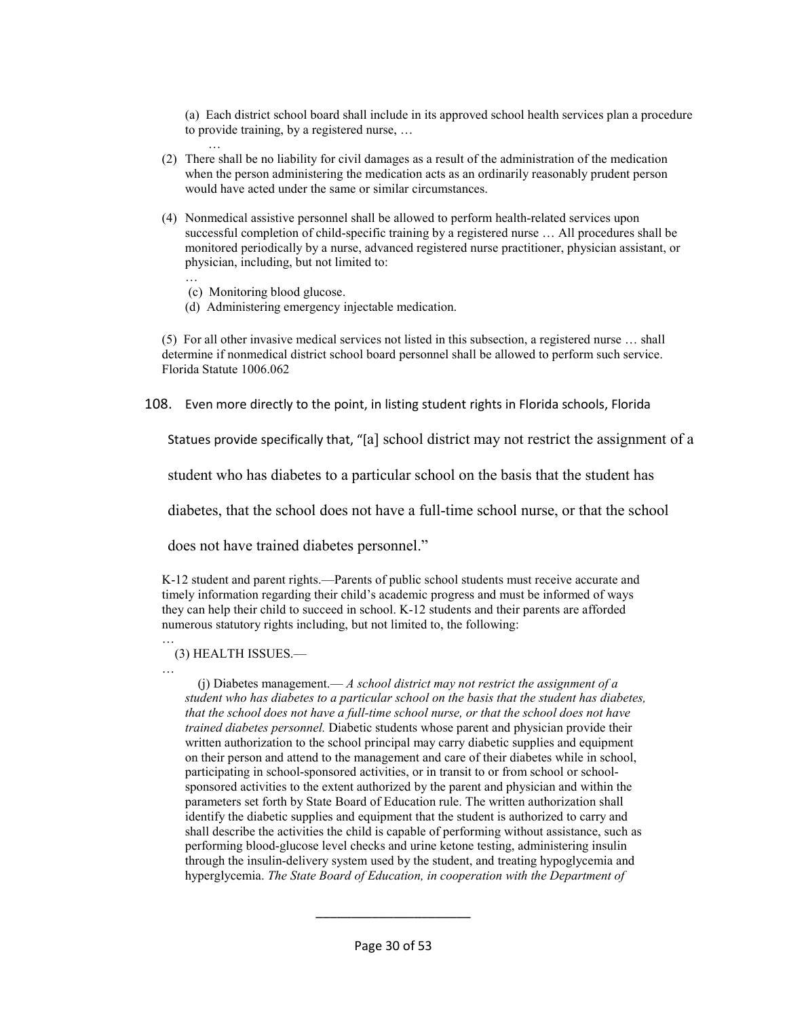(a) Each district school board shall include in its approved school health services plan a procedure to provide training, by a registered nurse, …

- (2) There shall be no liability for civil damages as a result of the administration of the medication when the person administering the medication acts as an ordinarily reasonably prudent person would have acted under the same or similar circumstances.
- (4) Nonmedical assistive personnel shall be allowed to perform health-related services upon successful completion of child-specific training by a registered nurse … All procedures shall be monitored periodically by a nurse, advanced registered nurse practitioner, physician assistant, or physician, including, but not limited to:
	- … (c) Monitoring blood glucose.

…

(d) Administering emergency injectable medication.

(5) For all other invasive medical services not listed in this subsection, a registered nurse … shall determine if nonmedical district school board personnel shall be allowed to perform such service. Florida Statute 1006.062

108. Even more directly to the point, in listing student rights in Florida schools, Florida

Statues provide specifically that, "[a] school district may not restrict the assignment of a

student who has diabetes to a particular school on the basis that the student has

diabetes, that the school does not have a full-time school nurse, or that the school

does not have trained diabetes personnel."

K-12 student and parent rights.—Parents of public school students must receive accurate and timely information regarding their child's academic progress and must be informed of ways they can help their child to succeed in school. K-12 students and their parents are afforded numerous statutory rights including, but not limited to, the following:

#### … (3) HEALTH ISSUES.—

…

(j) Diabetes management.— *A school district may not restrict the assignment of a student who has diabetes to a particular school on the basis that the student has diabetes, that the school does not have a full-time school nurse, or that the school does not have trained diabetes personnel.* Diabetic students whose parent and physician provide their written authorization to the school principal may carry diabetic supplies and equipment on their person and attend to the management and care of their diabetes while in school, participating in school-sponsored activities, or in transit to or from school or schoolsponsored activities to the extent authorized by the parent and physician and within the parameters set forth by State Board of Education rule. The written authorization shall identify the diabetic supplies and equipment that the student is authorized to carry and shall describe the activities the child is capable of performing without assistance, such as performing blood-glucose level checks and urine ketone testing, administering insulin through the insulin-delivery system used by the student, and treating hypoglycemia and hyperglycemia. *The State Board of Education, in cooperation with the Department of*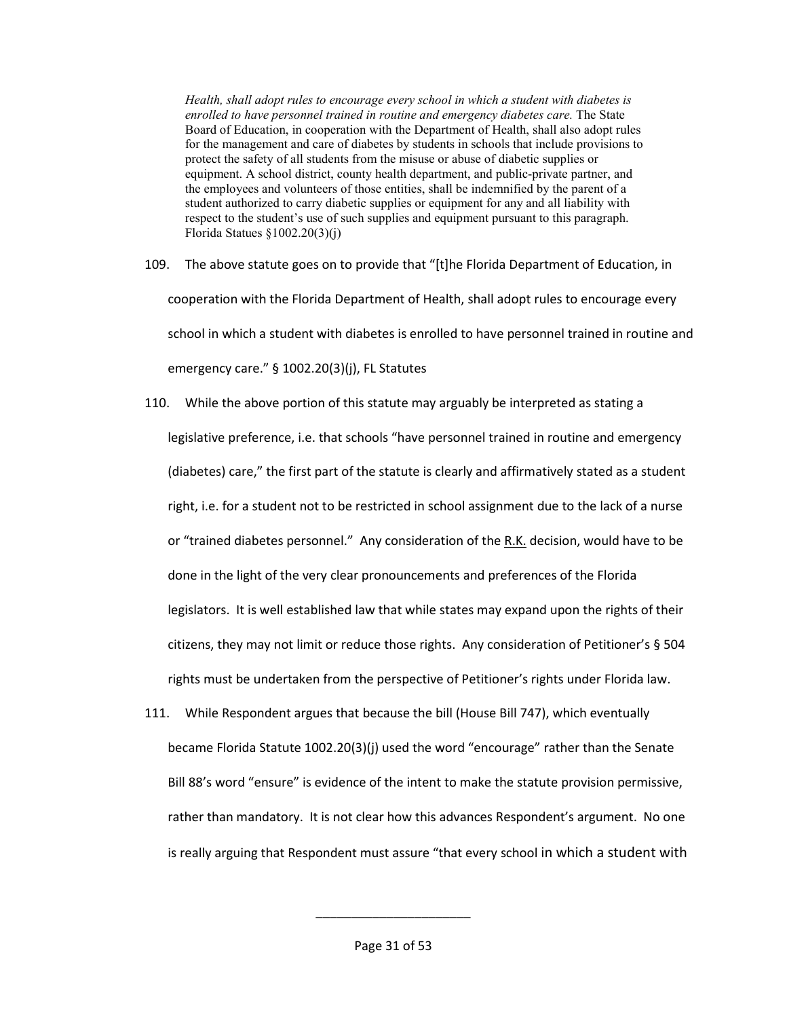*Health, shall adopt rules to encourage every school in which a student with diabetes is enrolled to have personnel trained in routine and emergency diabetes care.* The State Board of Education, in cooperation with the Department of Health, shall also adopt rules for the management and care of diabetes by students in schools that include provisions to protect the safety of all students from the misuse or abuse of diabetic supplies or equipment. A school district, county health department, and public-private partner, and the employees and volunteers of those entities, shall be indemnified by the parent of a student authorized to carry diabetic supplies or equipment for any and all liability with respect to the student's use of such supplies and equipment pursuant to this paragraph. Florida Statues §1002.20(3)(j)

- 109. The above statute goes on to provide that "[t]he Florida Department of Education, in cooperation with the Florida Department of Health, shall adopt rules to encourage every school in which a student with diabetes is enrolled to have personnel trained in routine and emergency care." § 1002.20(3)(j), FL Statutes
- 110. While the above portion of this statute may arguably be interpreted as stating a legislative preference, i.e. that schools "have personnel trained in routine and emergency (diabetes) care," the first part of the statute is clearly and affirmatively stated as a student right, i.e. for a student not to be restricted in school assignment due to the lack of a nurse or "trained diabetes personnel." Any consideration of the R.K. decision, would have to be done in the light of the very clear pronouncements and preferences of the Florida legislators. It is well established law that while states may expand upon the rights of their citizens, they may not limit or reduce those rights. Any consideration of Petitioner's § 504 rights must be undertaken from the perspective of Petitioner's rights under Florida law.
- 111. While Respondent argues that because the bill (House Bill 747), which eventually became Florida Statute 1002.20(3)(j) used the word "encourage" rather than the Senate Bill 88's word "ensure" is evidence of the intent to make the statute provision permissive, rather than mandatory. It is not clear how this advances Respondent's argument. No one is really arguing that Respondent must assure "that every school in which a student with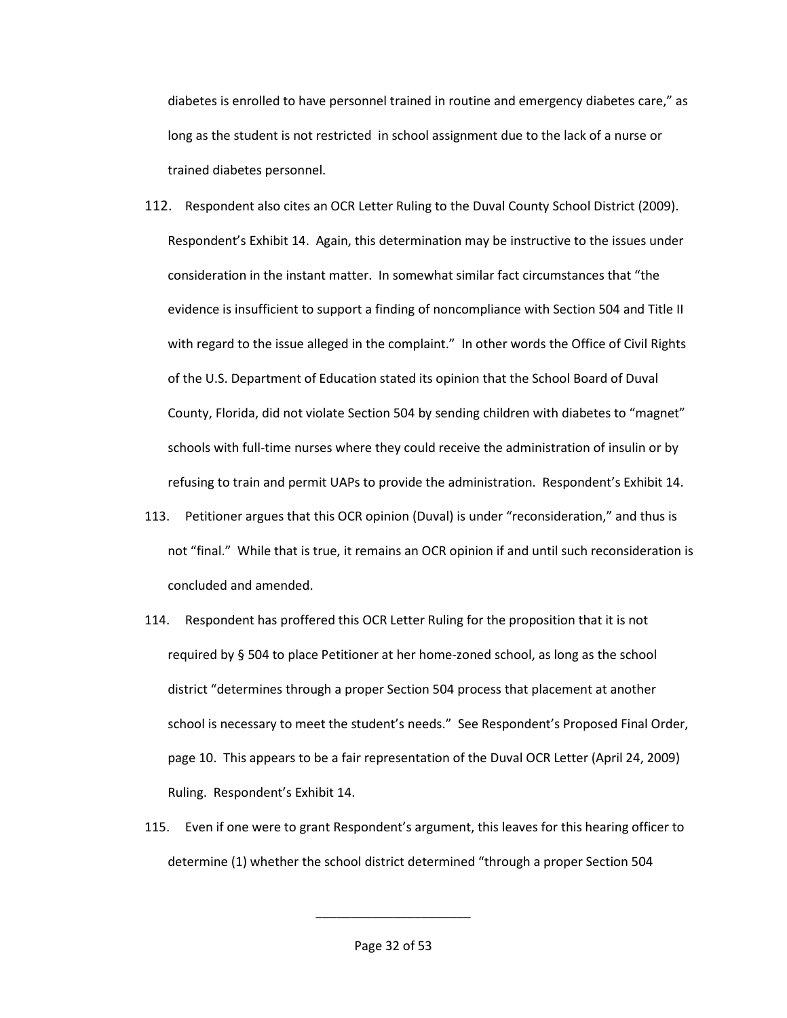diabetes is enrolled to have personnel trained in routine and emergency diabetes care," as long as the student is not restricted in school assignment due to the lack of a nurse or trained diabetes personnel.

- 112. Respondent also cites an OCR Letter Ruling to the Duval County School District (2009). Respondent's Exhibit 14. Again, this determination may be instructive to the issues under consideration in the instant matter. In somewhat similar fact circumstances that "the evidence is insufficient to support a finding of noncompliance with Section 504 and Title II with regard to the issue alleged in the complaint." In other words the Office of Civil Rights of the U.S. Department of Education stated its opinion that the School Board of Duval County, Florida, did not violate Section 504 by sending children with diabetes to "magnet" schools with full-time nurses where they could receive the administration of insulin or by refusing to train and permit UAPs to provide the administration. Respondent's Exhibit 14.
- 113. Petitioner argues that this OCR opinion (Duval) is under "reconsideration," and thus is not "final." While that is true, it remains an OCR opinion if and until such reconsideration is concluded and amended.
- 114. Respondent has proffered this OCR Letter Ruling for the proposition that it is not required by § 504 to place Petitioner at her home-zoned school, as long as the school district "determines through a proper Section 504 process that placement at another school is necessary to meet the student's needs." See Respondent's Proposed Final Order, page 10. This appears to be a fair representation of the Duval OCR Letter (April 24, 2009) Ruling. Respondent's Exhibit 14.
- 115. Even if one were to grant Respondent's argument, this leaves for this hearing officer to determine (1) whether the school district determined "through a proper Section 504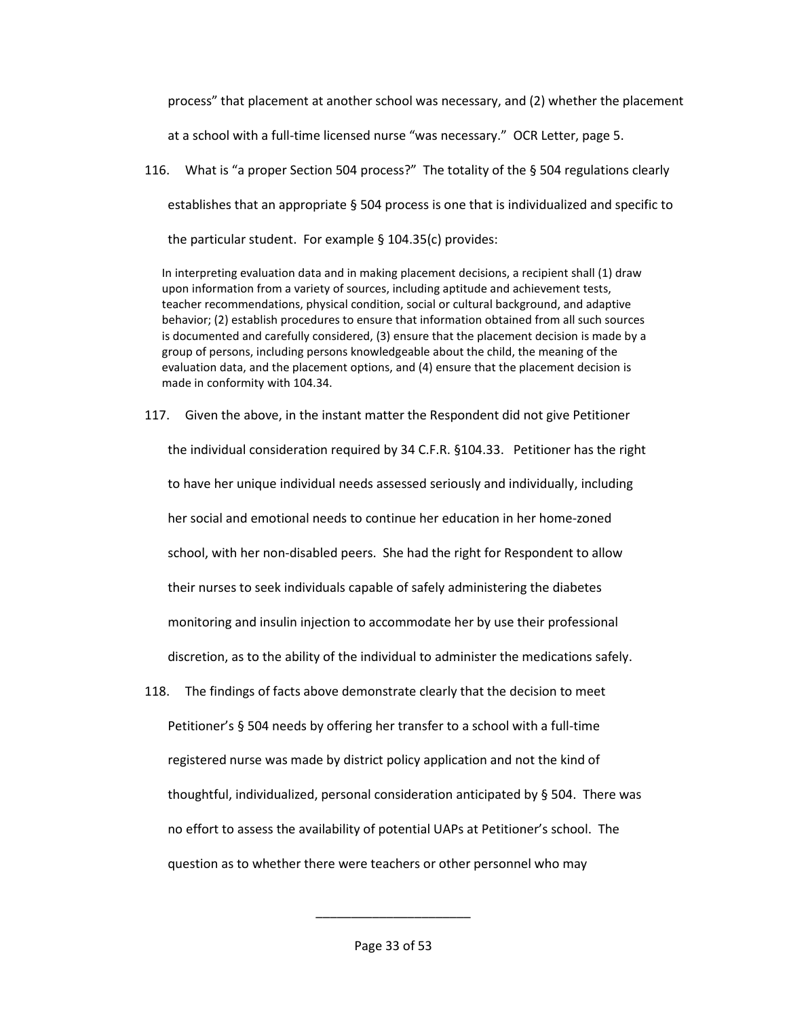process" that placement at another school was necessary, and (2) whether the placement

at a school with a full-time licensed nurse "was necessary." OCR Letter, page 5.

116. What is "a proper Section 504 process?" The totality of the § 504 regulations clearly establishes that an appropriate § 504 process is one that is individualized and specific to the particular student. For example § 104.35(c) provides:

In interpreting evaluation data and in making placement decisions, a recipient shall (1) draw upon information from a variety of sources, including aptitude and achievement tests, teacher recommendations, physical condition, social or cultural background, and adaptive behavior; (2) establish procedures to ensure that information obtained from all such sources is documented and carefully considered, (3) ensure that the placement decision is made by a group of persons, including persons knowledgeable about the child, the meaning of the evaluation data, and the placement options, and (4) ensure that the placement decision is made in conformity with 104.34.

117. Given the above, in the instant matter the Respondent did not give Petitioner

the individual consideration required by 34 C.F.R. §104.33. Petitioner has the right to have her unique individual needs assessed seriously and individually, including her social and emotional needs to continue her education in her home-zoned school, with her non-disabled peers. She had the right for Respondent to allow their nurses to seek individuals capable of safely administering the diabetes monitoring and insulin injection to accommodate her by use their professional discretion, as to the ability of the individual to administer the medications safely.

118. The findings of facts above demonstrate clearly that the decision to meet Petitioner's § 504 needs by offering her transfer to a school with a full-time registered nurse was made by district policy application and not the kind of thoughtful, individualized, personal consideration anticipated by § 504. There was no effort to assess the availability of potential UAPs at Petitioner's school. The question as to whether there were teachers or other personnel who may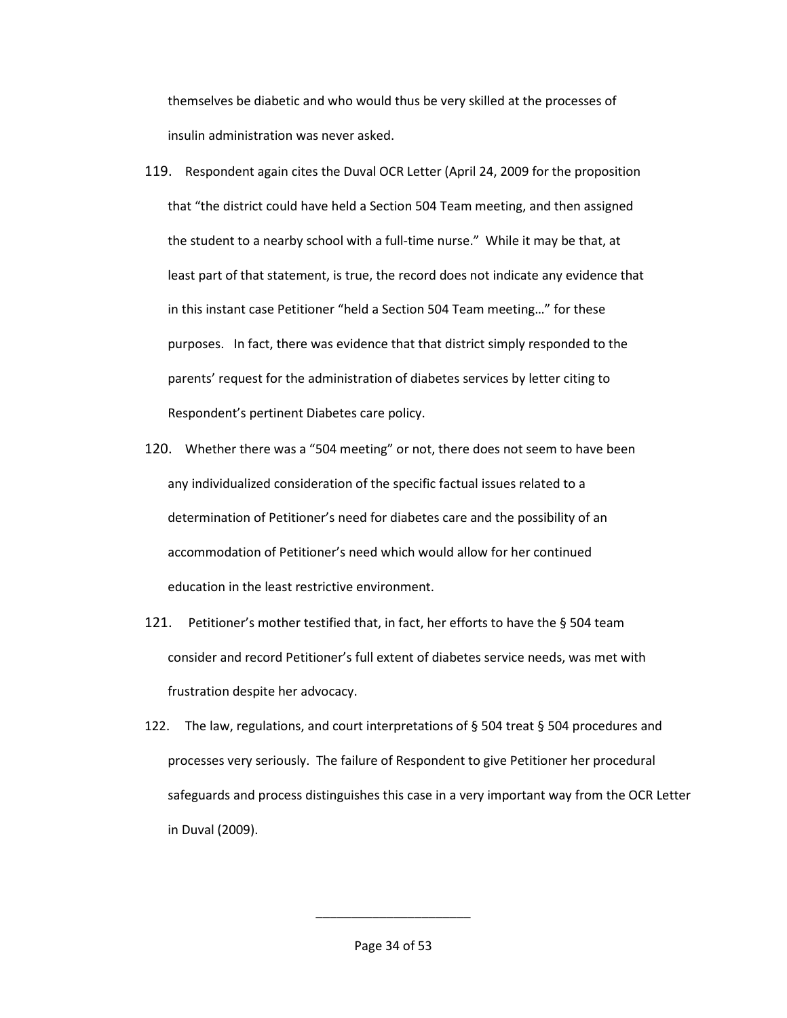themselves be diabetic and who would thus be very skilled at the processes of insulin administration was never asked.

- 119. Respondent again cites the Duval OCR Letter (April 24, 2009 for the proposition that "the district could have held a Section 504 Team meeting, and then assigned the student to a nearby school with a full-time nurse." While it may be that, at least part of that statement, is true, the record does not indicate any evidence that in this instant case Petitioner "held a Section 504 Team meeting…" for these purposes. In fact, there was evidence that that district simply responded to the parents' request for the administration of diabetes services by letter citing to Respondent's pertinent Diabetes care policy.
- 120. Whether there was a "504 meeting" or not, there does not seem to have been any individualized consideration of the specific factual issues related to a determination of Petitioner's need for diabetes care and the possibility of an accommodation of Petitioner's need which would allow for her continued education in the least restrictive environment.
- 121. Petitioner's mother testified that, in fact, her efforts to have the § 504 team consider and record Petitioner's full extent of diabetes service needs, was met with frustration despite her advocacy.
- 122. The law, regulations, and court interpretations of  $\S$  504 treat  $\S$  504 procedures and processes very seriously. The failure of Respondent to give Petitioner her procedural safeguards and process distinguishes this case in a very important way from the OCR Letter in Duval (2009).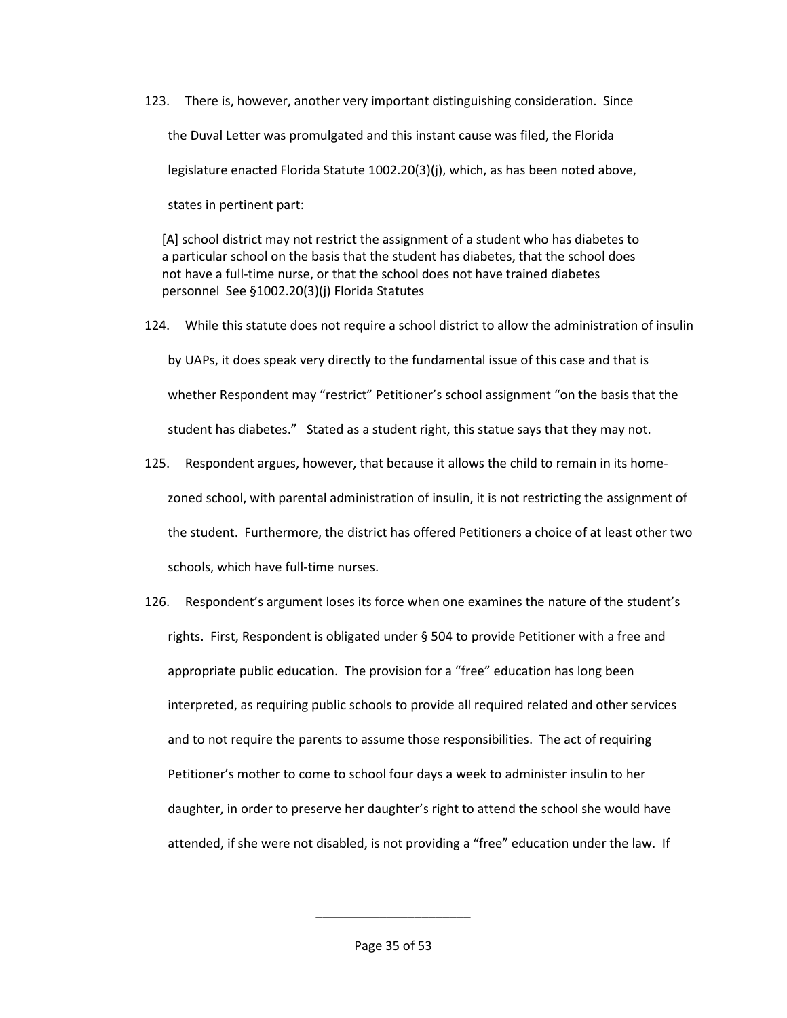123. There is, however, another very important distinguishing consideration. Since the Duval Letter was promulgated and this instant cause was filed, the Florida legislature enacted Florida Statute 1002.20(3)(j), which, as has been noted above, states in pertinent part:

[A] school district may not restrict the assignment of a student who has diabetes to a particular school on the basis that the student has diabetes, that the school does not have a full-time nurse, or that the school does not have trained diabetes personnel See §1002.20(3)(j) Florida Statutes

- 124. While this statute does not require a school district to allow the administration of insulin by UAPs, it does speak very directly to the fundamental issue of this case and that is whether Respondent may "restrict" Petitioner's school assignment "on the basis that the student has diabetes." Stated as a student right, this statue says that they may not.
- 125. Respondent argues, however, that because it allows the child to remain in its homezoned school, with parental administration of insulin, it is not restricting the assignment of the student. Furthermore, the district has offered Petitioners a choice of at least other two schools, which have full-time nurses.
- 126. Respondent's argument loses its force when one examines the nature of the student's rights. First, Respondent is obligated under § 504 to provide Petitioner with a free and appropriate public education. The provision for a "free" education has long been interpreted, as requiring public schools to provide all required related and other services and to not require the parents to assume those responsibilities. The act of requiring Petitioner's mother to come to school four days a week to administer insulin to her daughter, in order to preserve her daughter's right to attend the school she would have attended, if she were not disabled, is not providing a "free" education under the law. If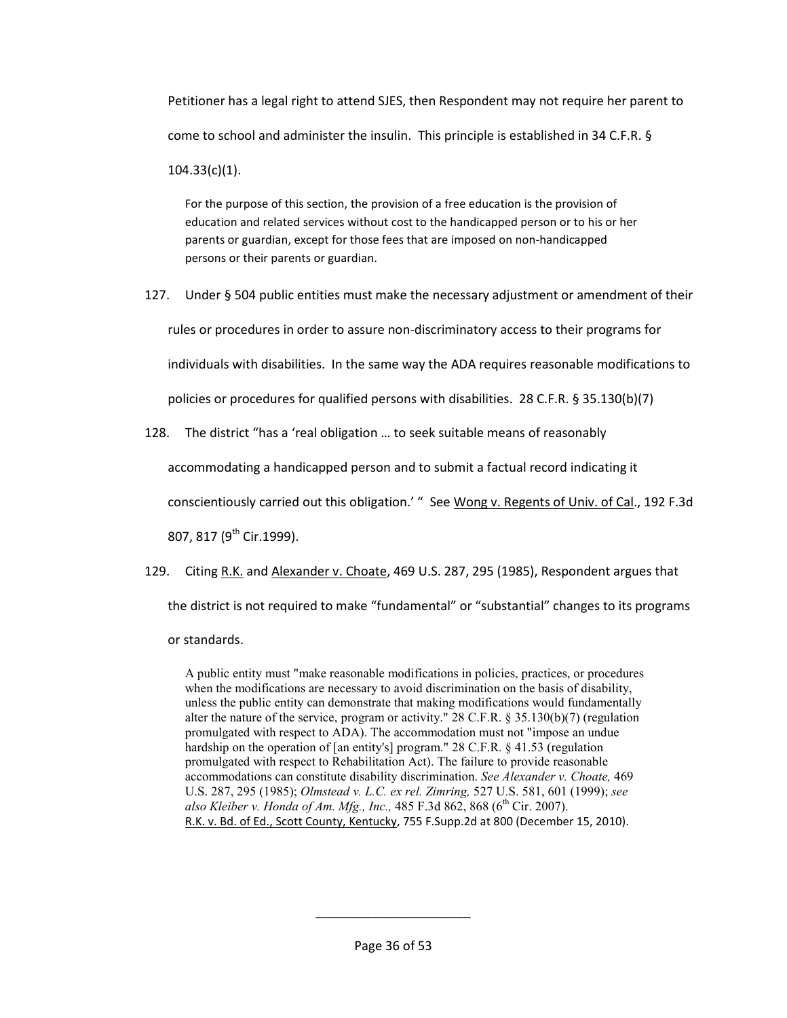Petitioner has a legal right to attend SJES, then Respondent may not require her parent to come to school and administer the insulin. This principle is established in 34 C.F.R. § 104.33(c)(1).

For the purpose of this section, the provision of a free education is the provision of education and related services without cost to the handicapped person or to his or her parents or guardian, except for those fees that are imposed on non-handicapped persons or their parents or guardian.

127. Under § 504 public entities must make the necessary adjustment or amendment of their rules or procedures in order to assure non-discriminatory access to their programs for individuals with disabilities. In the same way the ADA requires reasonable modifications to policies or procedures for qualified persons with disabilities. 28 C.F.R. § 35.130(b)(7)

128. The district "has a 'real obligation … to seek suitable means of reasonably

accommodating a handicapped person and to submit a factual record indicating it

conscientiously carried out this obligation.' " See Wong v. Regents of Univ. of Cal., 192 F.3d

807, 817 (9<sup>th</sup> Cir.1999).

129. Citing R.K. and Alexander v. Choate, 469 U.S. 287, 295 (1985), Respondent argues that the district is not required to make "fundamental" or "substantial" changes to its programs or standards.

A public entity must "make reasonable modifications in policies, practices, or procedures when the modifications are necessary to avoid discrimination on the basis of disability, unless the public entity can demonstrate that making modifications would fundamentally alter the nature of the service, program or activity." 28 C.F.R. § 35.130(b)(7) (regulation promulgated with respect to ADA). The accommodation must not "impose an undue hardship on the operation of [an entity's] program." 28 C.F.R. § 41.53 (regulation promulgated with respect to Rehabilitation Act). The failure to provide reasonable accommodations can constitute disability discrimination. *See Alexander v. Choate,* 469 U.S. 287, 295 (1985); *Olmstead v. L.C. ex rel. Zimring,* 527 U.S. 581, 601 (1999); *see*  also Kleiber v. Honda of Am. Mfg., Inc., 485 F.3d 862, 868 (6<sup>th</sup> Cir. 2007). R.K. v. Bd. of Ed., Scott County, Kentucky, 755 F.Supp.2d at 800 (December 15, 2010).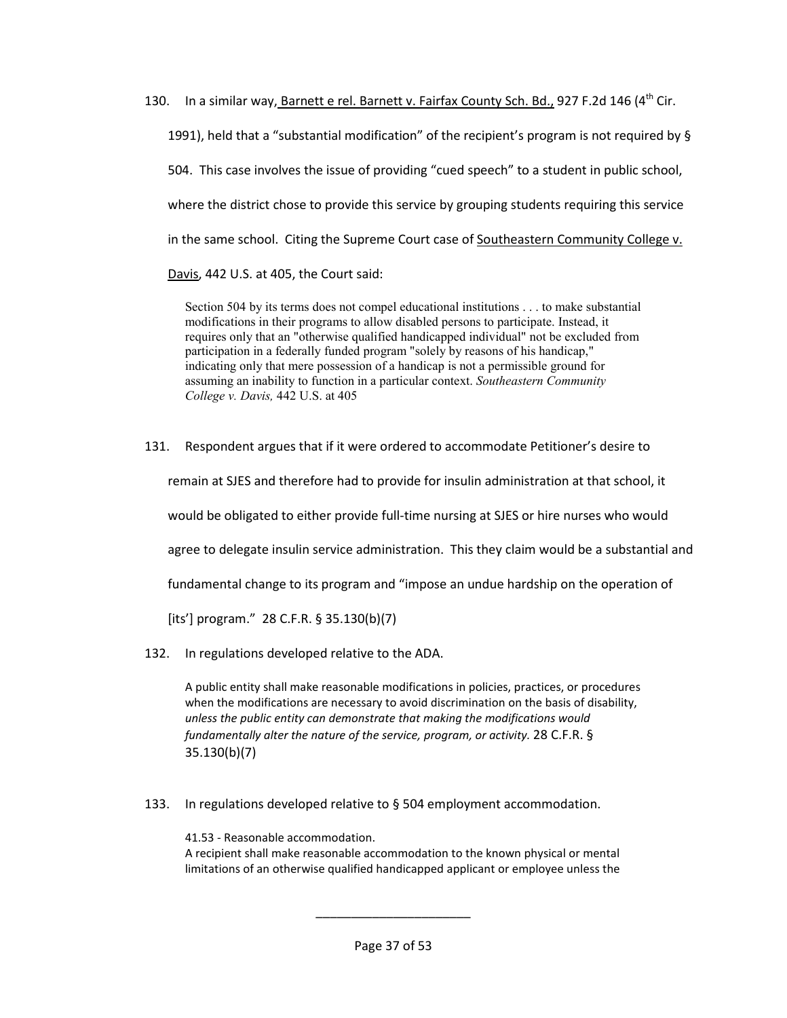130. In a similar way, Barnett e rel. Barnett v. Fairfax County Sch. Bd., 927 F.2d 146 (4<sup>th</sup> Cir. 1991), held that a "substantial modification" of the recipient's program is not required by § 504. This case involves the issue of providing "cued speech" to a student in public school, where the district chose to provide this service by grouping students requiring this service in the same school. Citing the Supreme Court case of Southeastern Community College v. Davis, 442 U.S. at 405, the Court said:

Section 504 by its terms does not compel educational institutions . . . to make substantial modifications in their programs to allow disabled persons to participate. Instead, it requires only that an "otherwise qualified handicapped individual" not be excluded from participation in a federally funded program "solely by reasons of his handicap," indicating only that mere possession of a handicap is not a permissible ground for assuming an inability to function in a particular context. *Southeastern Community College v. Davis,* 442 U.S. at 405

131. Respondent argues that if it were ordered to accommodate Petitioner's desire to

remain at SJES and therefore had to provide for insulin administration at that school, it

would be obligated to either provide full-time nursing at SJES or hire nurses who would

agree to delegate insulin service administration. This they claim would be a substantial and

fundamental change to its program and "impose an undue hardship on the operation of

[its'] program." 28 C.F.R. § 35.130(b)(7)

132. In regulations developed relative to the ADA.

A public entity shall make reasonable modifications in policies, practices, or procedures when the modifications are necessary to avoid discrimination on the basis of disability, *unless the public entity can demonstrate that making the modifications would fundamentally alter the nature of the service, program, or activity.* 28 C.F.R. § 35.130(b)(7)

133. In regulations developed relative to § 504 employment accommodation.

41.53 - Reasonable accommodation. A recipient shall make reasonable accommodation to the known physical or mental limitations of an otherwise qualified handicapped applicant or employee unless the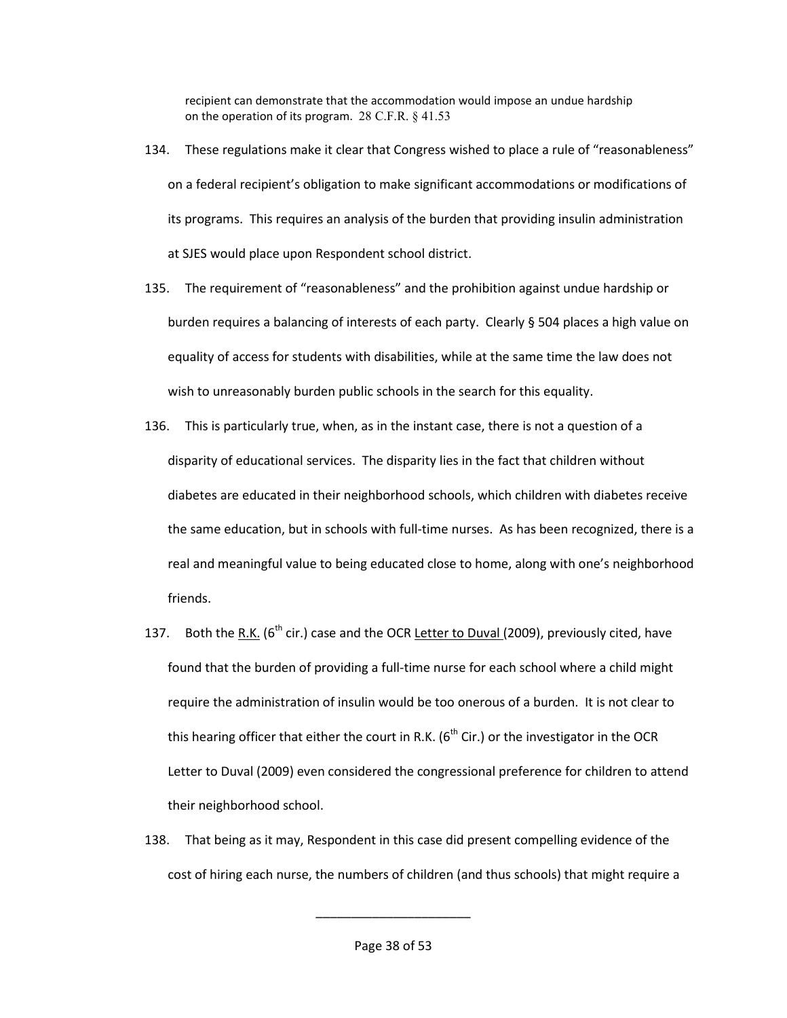recipient can demonstrate that the accommodation would impose an undue hardship on the operation of its program.  $28$  C.F.R.  $\S$  41.53

- 134. These regulations make it clear that Congress wished to place a rule of "reasonableness" on a federal recipient's obligation to make significant accommodations or modifications of its programs. This requires an analysis of the burden that providing insulin administration at SJES would place upon Respondent school district.
- 135. The requirement of "reasonableness" and the prohibition against undue hardship or burden requires a balancing of interests of each party. Clearly § 504 places a high value on equality of access for students with disabilities, while at the same time the law does not wish to unreasonably burden public schools in the search for this equality.
- 136. This is particularly true, when, as in the instant case, there is not a question of a disparity of educational services. The disparity lies in the fact that children without diabetes are educated in their neighborhood schools, which children with diabetes receive the same education, but in schools with full-time nurses. As has been recognized, there is a real and meaningful value to being educated close to home, along with one's neighborhood friends.
- 137. Both the R.K. ( $6<sup>th</sup>$  cir.) case and the OCR Letter to Duval (2009), previously cited, have found that the burden of providing a full-time nurse for each school where a child might require the administration of insulin would be too onerous of a burden. It is not clear to this hearing officer that either the court in R.K. ( $6<sup>th</sup>$  Cir.) or the investigator in the OCR Letter to Duval (2009) even considered the congressional preference for children to attend their neighborhood school.
- 138. That being as it may, Respondent in this case did present compelling evidence of the cost of hiring each nurse, the numbers of children (and thus schools) that might require a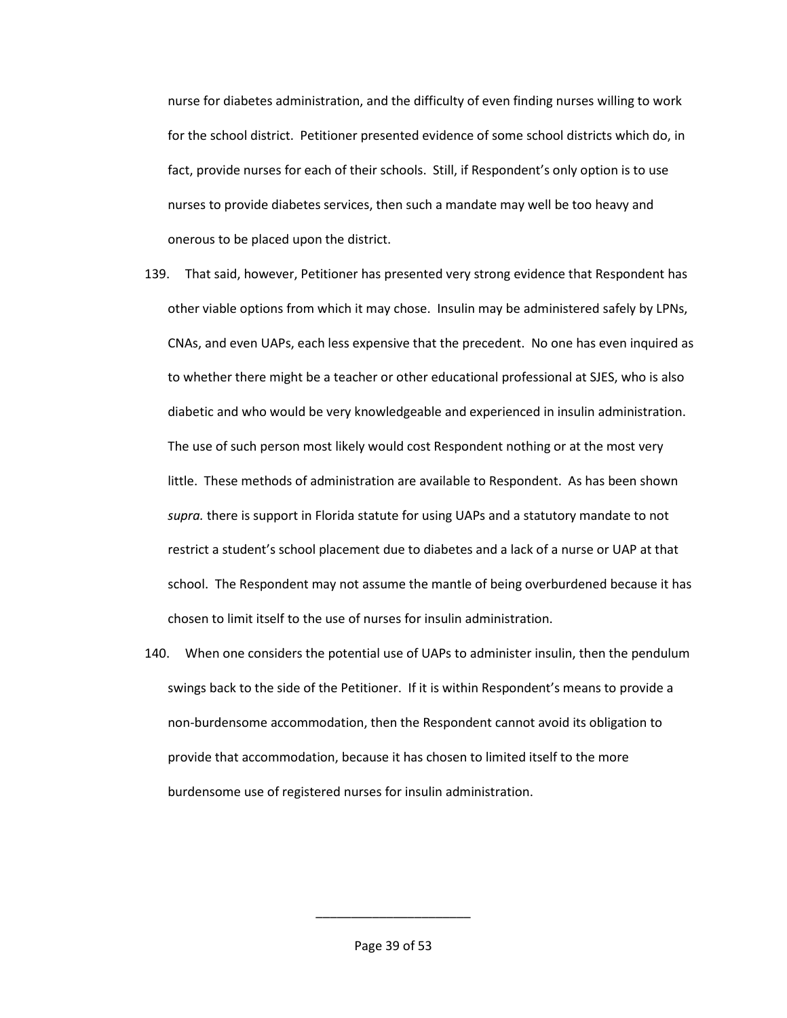nurse for diabetes administration, and the difficulty of even finding nurses willing to work for the school district. Petitioner presented evidence of some school districts which do, in fact, provide nurses for each of their schools. Still, if Respondent's only option is to use nurses to provide diabetes services, then such a mandate may well be too heavy and onerous to be placed upon the district.

- 139. That said, however, Petitioner has presented very strong evidence that Respondent has other viable options from which it may chose. Insulin may be administered safely by LPNs, CNAs, and even UAPs, each less expensive that the precedent. No one has even inquired as to whether there might be a teacher or other educational professional at SJES, who is also diabetic and who would be very knowledgeable and experienced in insulin administration. The use of such person most likely would cost Respondent nothing or at the most very little. These methods of administration are available to Respondent. As has been shown *supra.* there is support in Florida statute for using UAPs and a statutory mandate to not restrict a student's school placement due to diabetes and a lack of a nurse or UAP at that school. The Respondent may not assume the mantle of being overburdened because it has chosen to limit itself to the use of nurses for insulin administration.
- 140. When one considers the potential use of UAPs to administer insulin, then the pendulum swings back to the side of the Petitioner. If it is within Respondent's means to provide a non-burdensome accommodation, then the Respondent cannot avoid its obligation to provide that accommodation, because it has chosen to limited itself to the more burdensome use of registered nurses for insulin administration.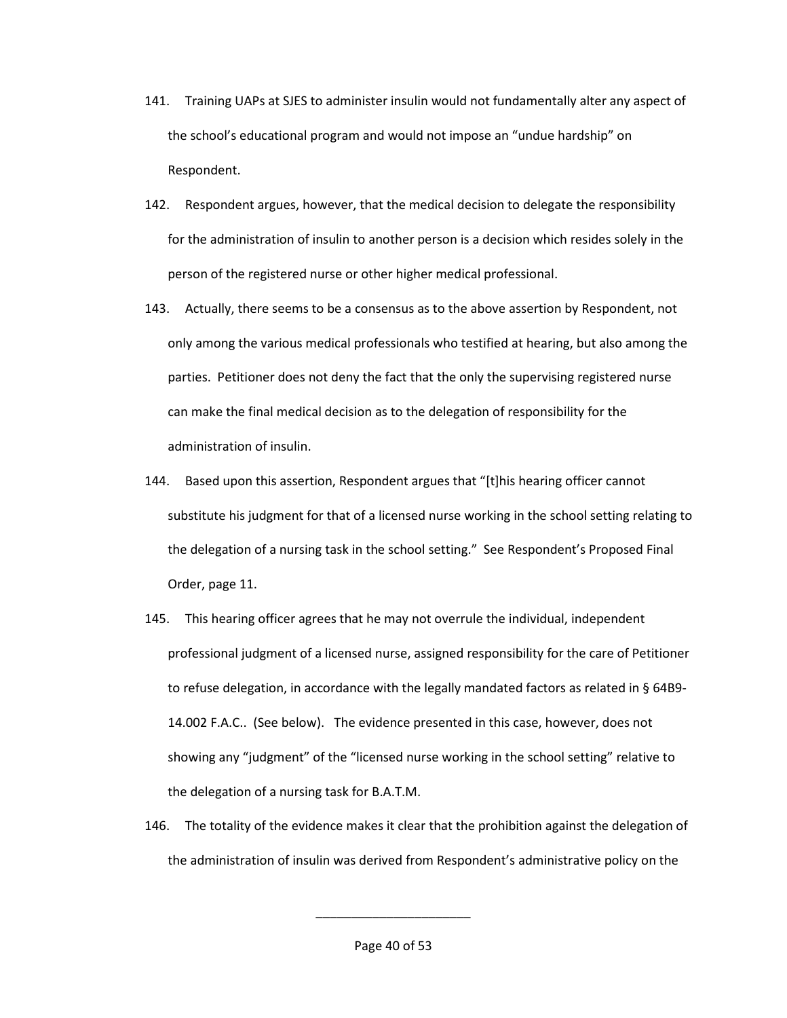- 141. Training UAPs at SJES to administer insulin would not fundamentally alter any aspect of the school's educational program and would not impose an "undue hardship" on Respondent.
- 142. Respondent argues, however, that the medical decision to delegate the responsibility for the administration of insulin to another person is a decision which resides solely in the person of the registered nurse or other higher medical professional.
- 143. Actually, there seems to be a consensus as to the above assertion by Respondent, not only among the various medical professionals who testified at hearing, but also among the parties. Petitioner does not deny the fact that the only the supervising registered nurse can make the final medical decision as to the delegation of responsibility for the administration of insulin.
- 144. Based upon this assertion, Respondent argues that "[t]his hearing officer cannot substitute his judgment for that of a licensed nurse working in the school setting relating to the delegation of a nursing task in the school setting." See Respondent's Proposed Final Order, page 11.
- 145. This hearing officer agrees that he may not overrule the individual, independent professional judgment of a licensed nurse, assigned responsibility for the care of Petitioner to refuse delegation, in accordance with the legally mandated factors as related in § 64B9- 14.002 F.A.C.. (See below). The evidence presented in this case, however, does not showing any "judgment" of the "licensed nurse working in the school setting" relative to the delegation of a nursing task for B.A.T.M.
- 146. The totality of the evidence makes it clear that the prohibition against the delegation of the administration of insulin was derived from Respondent's administrative policy on the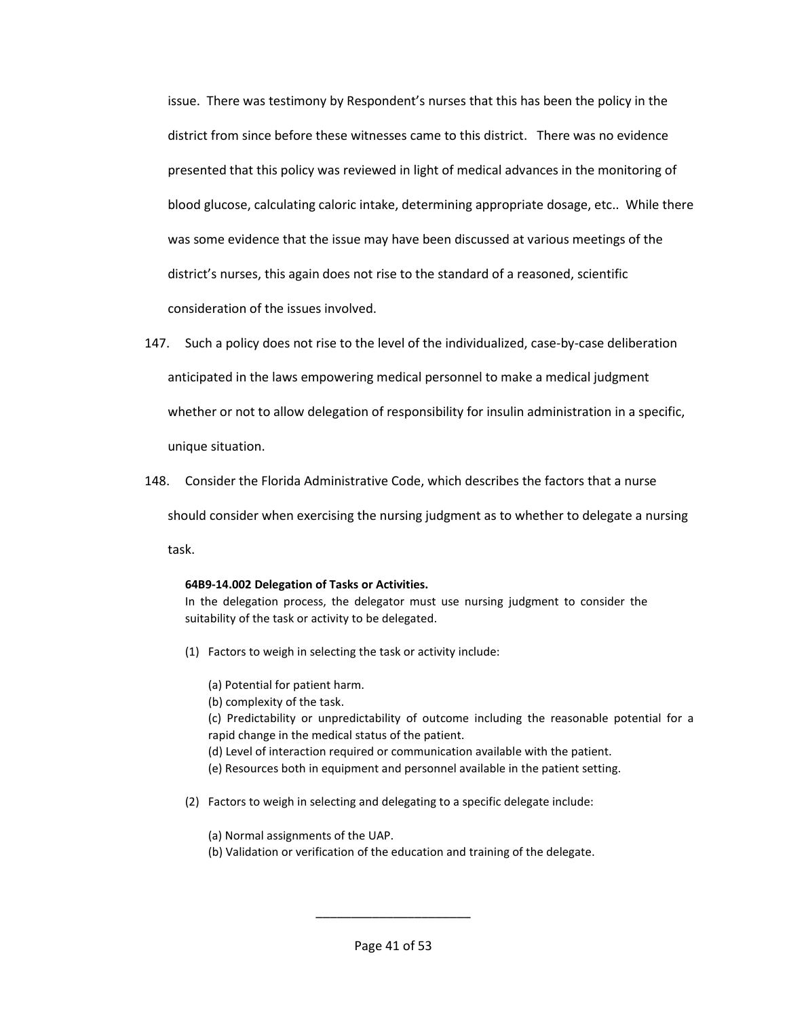issue. There was testimony by Respondent's nurses that this has been the policy in the district from since before these witnesses came to this district. There was no evidence presented that this policy was reviewed in light of medical advances in the monitoring of blood glucose, calculating caloric intake, determining appropriate dosage, etc.. While there was some evidence that the issue may have been discussed at various meetings of the district's nurses, this again does not rise to the standard of a reasoned, scientific consideration of the issues involved.

- 147. Such a policy does not rise to the level of the individualized, case-by-case deliberation anticipated in the laws empowering medical personnel to make a medical judgment whether or not to allow delegation of responsibility for insulin administration in a specific, unique situation.
- 148. Consider the Florida Administrative Code, which describes the factors that a nurse

should consider when exercising the nursing judgment as to whether to delegate a nursing

task.

#### **64B9-14.002 Delegation of Tasks or Activities.**

In the delegation process, the delegator must use nursing judgment to consider the suitability of the task or activity to be delegated.

- (1) Factors to weigh in selecting the task or activity include:
	- (a) Potential for patient harm.
	- (b) complexity of the task.

(c) Predictability or unpredictability of outcome including the reasonable potential for a rapid change in the medical status of the patient.

- (d) Level of interaction required or communication available with the patient.
- (e) Resources both in equipment and personnel available in the patient setting.
- (2) Factors to weigh in selecting and delegating to a specific delegate include:
	- (a) Normal assignments of the UAP.
	- (b) Validation or verification of the education and training of the delegate.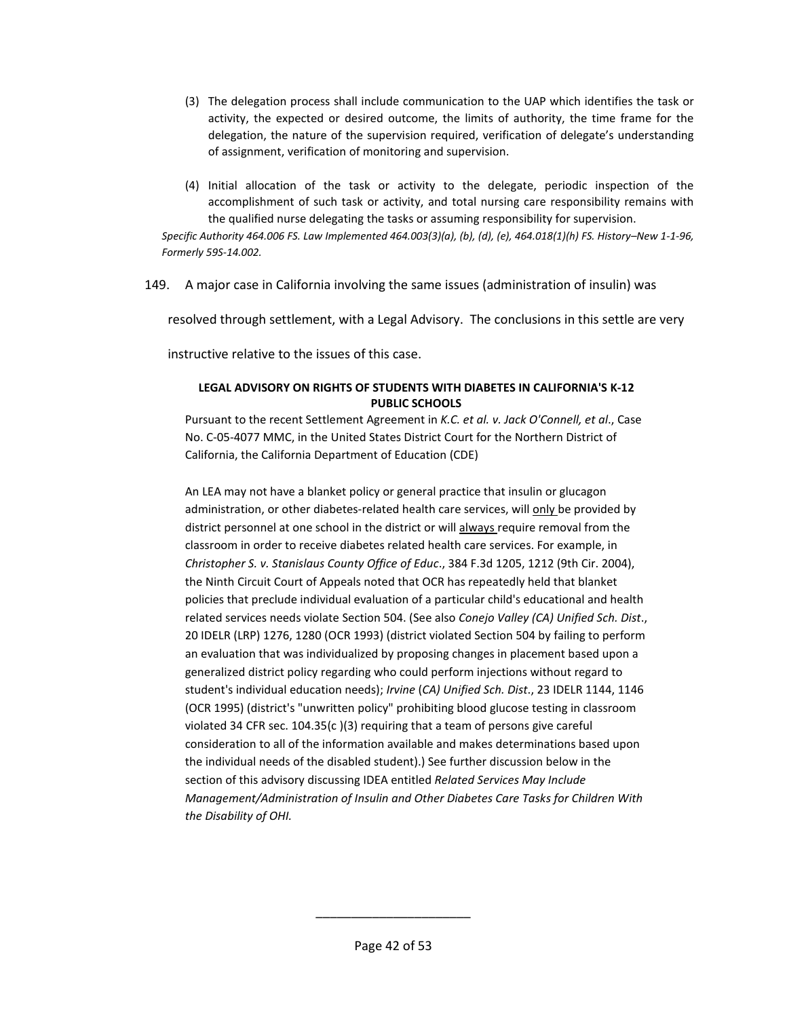- (3) The delegation process shall include communication to the UAP which identifies the task or activity, the expected or desired outcome, the limits of authority, the time frame for the delegation, the nature of the supervision required, verification of delegate's understanding of assignment, verification of monitoring and supervision.
- (4) Initial allocation of the task or activity to the delegate, periodic inspection of the accomplishment of such task or activity, and total nursing care responsibility remains with the qualified nurse delegating the tasks or assuming responsibility for supervision.

*Specific Authority 464.006 FS. Law Implemented 464.003(3)(a), (b), (d), (e), 464.018(1)(h) FS. History–New 1-1-96, Formerly 59S-14.002.* 

149. A major case in California involving the same issues (administration of insulin) was

resolved through settlement, with a Legal Advisory. The conclusions in this settle are very

instructive relative to the issues of this case.

#### **LEGAL ADVISORY ON RIGHTS OF STUDENTS WITH DIABETES IN CALIFORNIA'S K-12 PUBLIC SCHOOLS**

Pursuant to the recent Settlement Agreement in *K.C. et al. v. Jack O'Connell, et al*., Case No. C-05-4077 MMC, in the United States District Court for the Northern District of California, the California Department of Education (CDE)

An LEA may not have a blanket policy or general practice that insulin or glucagon administration, or other diabetes-related health care services, will only be provided by district personnel at one school in the district or will always require removal from the classroom in order to receive diabetes related health care services. For example, in *Christopher S. v. Stanislaus County Office of Educ*., 384 F.3d 1205, 1212 (9th Cir. 2004), the Ninth Circuit Court of Appeals noted that OCR has repeatedly held that blanket policies that preclude individual evaluation of a particular child's educational and health related services needs violate Section 504. (See also *Conejo Valley (CA) Unified Sch. Dist*., 20 IDELR (LRP) 1276, 1280 (OCR 1993) (district violated Section 504 by failing to perform an evaluation that was individualized by proposing changes in placement based upon a generalized district policy regarding who could perform injections without regard to student's individual education needs); *Irvine* (*CA) Unified Sch. Dist*., 23 IDELR 1144, 1146 (OCR 1995) (district's "unwritten policy" prohibiting blood glucose testing in classroom violated 34 CFR sec. 104.35(c )(3) requiring that a team of persons give careful consideration to all of the information available and makes determinations based upon the individual needs of the disabled student).) See further discussion below in the section of this advisory discussing IDEA entitled *Related Services May Include Management/Administration of Insulin and Other Diabetes Care Tasks for Children With the Disability of OHI.*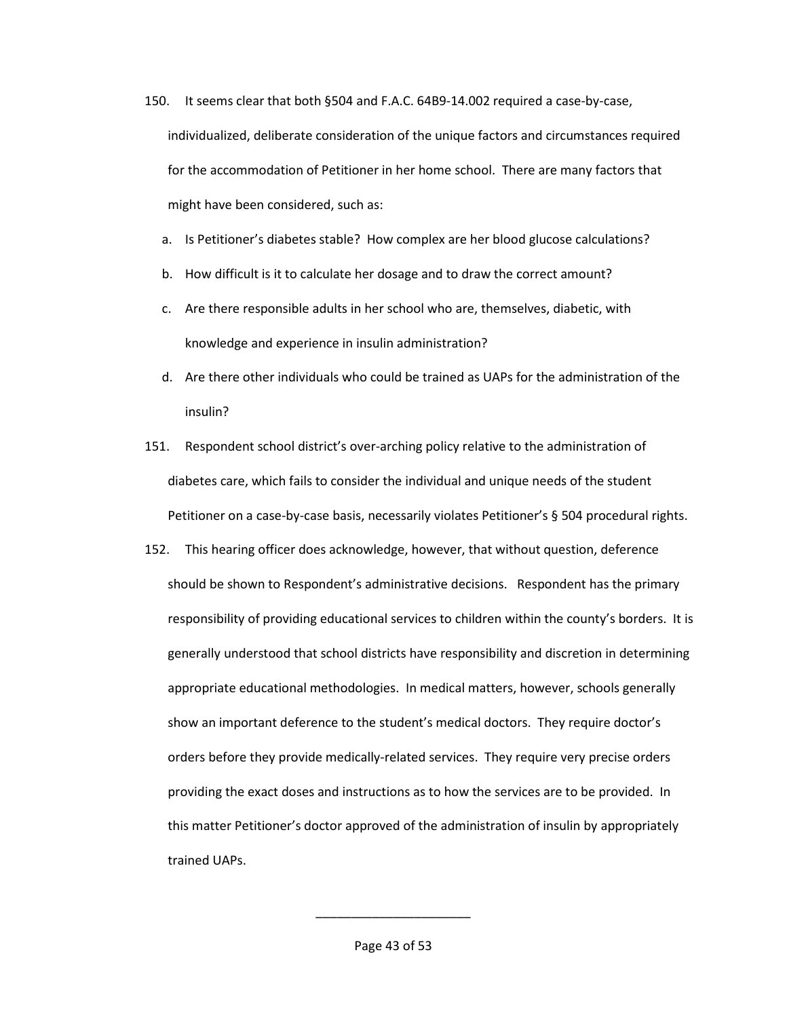- 150. It seems clear that both §504 and F.A.C. 64B9-14.002 required a case-by-case, individualized, deliberate consideration of the unique factors and circumstances required for the accommodation of Petitioner in her home school. There are many factors that might have been considered, such as:
	- a. Is Petitioner's diabetes stable? How complex are her blood glucose calculations?
	- b. How difficult is it to calculate her dosage and to draw the correct amount?
	- c. Are there responsible adults in her school who are, themselves, diabetic, with knowledge and experience in insulin administration?
	- d. Are there other individuals who could be trained as UAPs for the administration of the insulin?
- 151. Respondent school district's over-arching policy relative to the administration of diabetes care, which fails to consider the individual and unique needs of the student Petitioner on a case-by-case basis, necessarily violates Petitioner's § 504 procedural rights.
- 152. This hearing officer does acknowledge, however, that without question, deference should be shown to Respondent's administrative decisions. Respondent has the primary responsibility of providing educational services to children within the county's borders. It is generally understood that school districts have responsibility and discretion in determining appropriate educational methodologies. In medical matters, however, schools generally show an important deference to the student's medical doctors. They require doctor's orders before they provide medically-related services. They require very precise orders providing the exact doses and instructions as to how the services are to be provided. In this matter Petitioner's doctor approved of the administration of insulin by appropriately trained UAPs.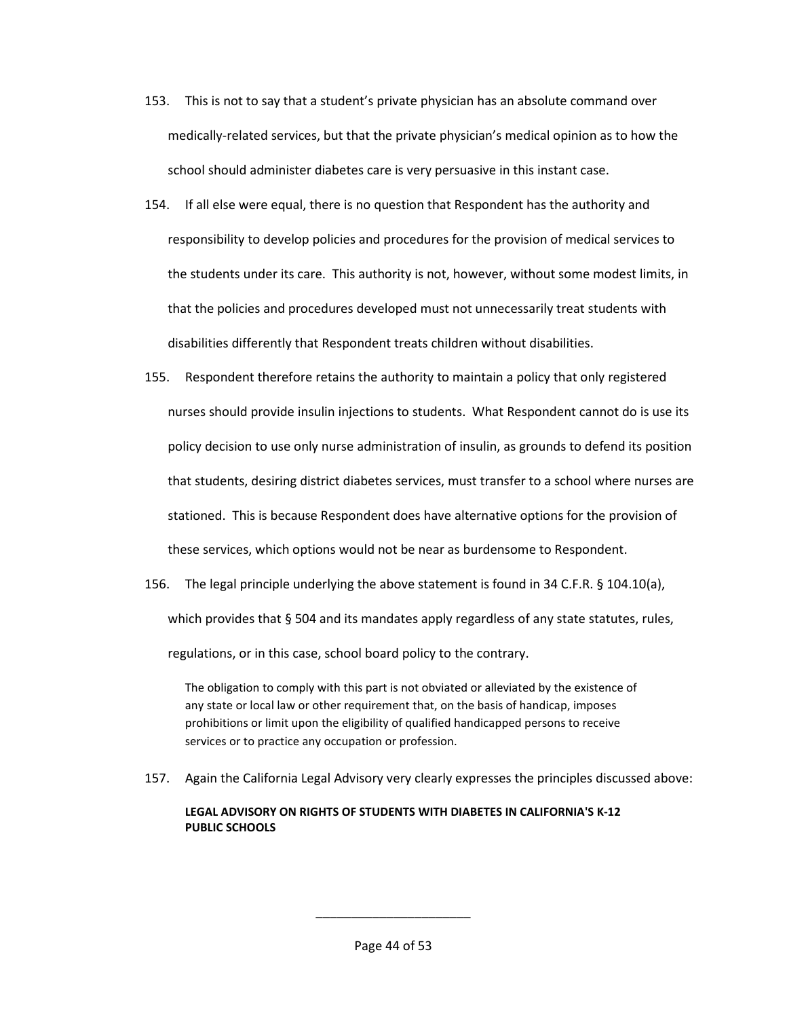- 153. This is not to say that a student's private physician has an absolute command over medically-related services, but that the private physician's medical opinion as to how the school should administer diabetes care is very persuasive in this instant case.
- 154. If all else were equal, there is no question that Respondent has the authority and responsibility to develop policies and procedures for the provision of medical services to the students under its care. This authority is not, however, without some modest limits, in that the policies and procedures developed must not unnecessarily treat students with disabilities differently that Respondent treats children without disabilities.
- 155. Respondent therefore retains the authority to maintain a policy that only registered nurses should provide insulin injections to students. What Respondent cannot do is use its policy decision to use only nurse administration of insulin, as grounds to defend its position that students, desiring district diabetes services, must transfer to a school where nurses are stationed. This is because Respondent does have alternative options for the provision of these services, which options would not be near as burdensome to Respondent.
- 156. The legal principle underlying the above statement is found in 34 C.F.R. § 104.10(a), which provides that § 504 and its mandates apply regardless of any state statutes, rules, regulations, or in this case, school board policy to the contrary.

The obligation to comply with this part is not obviated or alleviated by the existence of any state or local law or other requirement that, on the basis of handicap, imposes prohibitions or limit upon the eligibility of qualified handicapped persons to receive services or to practice any occupation or profession.

157. Again the California Legal Advisory very clearly expresses the principles discussed above:

# **LEGAL ADVISORY ON RIGHTS OF STUDENTS WITH DIABETES IN CALIFORNIA'S K-12 PUBLIC SCHOOLS**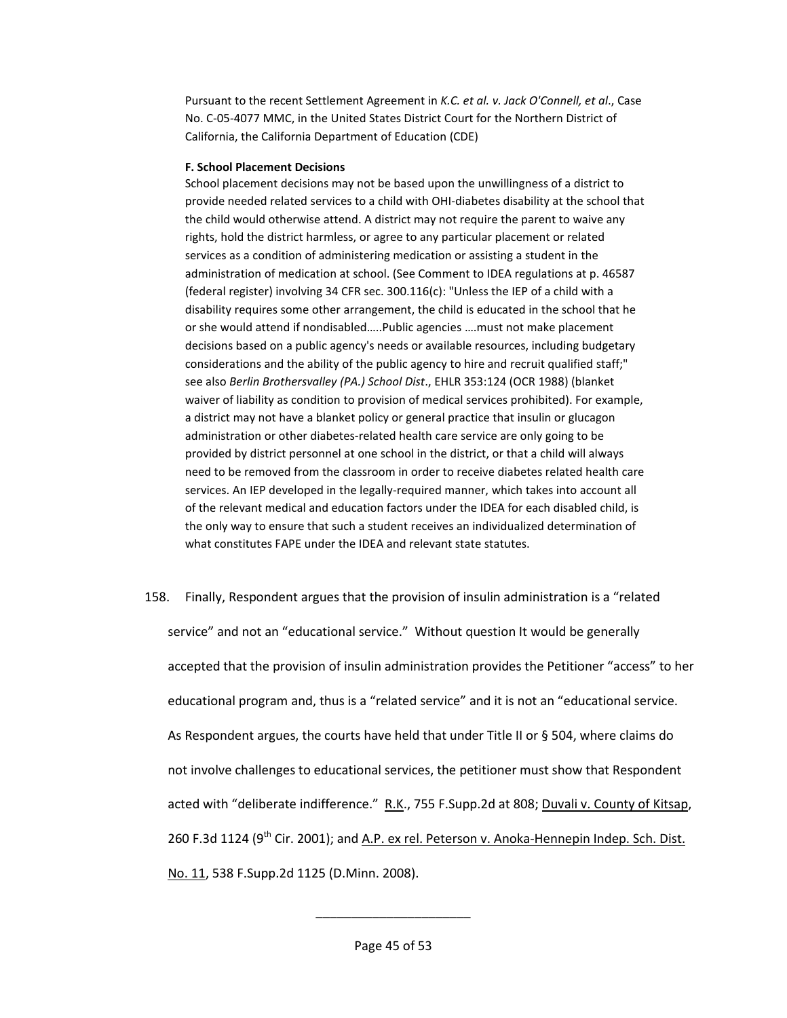Pursuant to the recent Settlement Agreement in *K.C. et al. v. Jack O'Connell, et al*., Case No. C-05-4077 MMC, in the United States District Court for the Northern District of California, the California Department of Education (CDE)

#### **F. School Placement Decisions**

School placement decisions may not be based upon the unwillingness of a district to provide needed related services to a child with OHI-diabetes disability at the school that the child would otherwise attend. A district may not require the parent to waive any rights, hold the district harmless, or agree to any particular placement or related services as a condition of administering medication or assisting a student in the administration of medication at school. (See Comment to IDEA regulations at p. 46587 (federal register) involving 34 CFR sec.  $300.116(c)$ : "Unless the IEP of a child with a disability requires some other arrangement, the child is educated in the school that he or she would attend if nondisabled…..Public agencies ….must not make placement decisions based on a public agency's needs or available resources, including budgetary considerations and the ability of the public agency to hire and recruit qualified staff;" see also *Berlin Brothersvalley (PA.) School Dist*., EHLR 353:124 (OCR 1988) (blanket waiver of liability as condition to provision of medical services prohibited). For example, a district may not have a blanket policy or general practice that insulin or glucagon administration or other diabetes-related health care service are only going to be provided by district personnel at one school in the district, or that a child will always need to be removed from the classroom in order to receive diabetes related health care services. An IEP developed in the legally-required manner, which takes into account all of the relevant medical and education factors under the IDEA for each disabled child, is the only way to ensure that such a student receives an individualized determination of what constitutes FAPE under the IDEA and relevant state statutes.

158. Finally, Respondent argues that the provision of insulin administration is a "related service" and not an "educational service." Without question It would be generally accepted that the provision of insulin administration provides the Petitioner "access" to her educational program and, thus is a "related service" and it is not an "educational service. As Respondent argues, the courts have held that under Title II or § 504, where claims do not involve challenges to educational services, the petitioner must show that Respondent acted with "deliberate indifference." R.K., 755 F.Supp.2d at 808; Duvali v. County of Kitsap, 260 F.3d 1124 (9<sup>th</sup> Cir. 2001); and A.P. ex rel. Peterson v. Anoka-Hennepin Indep. Sch. Dist. No. 11, 538 F.Supp.2d 1125 (D.Minn. 2008).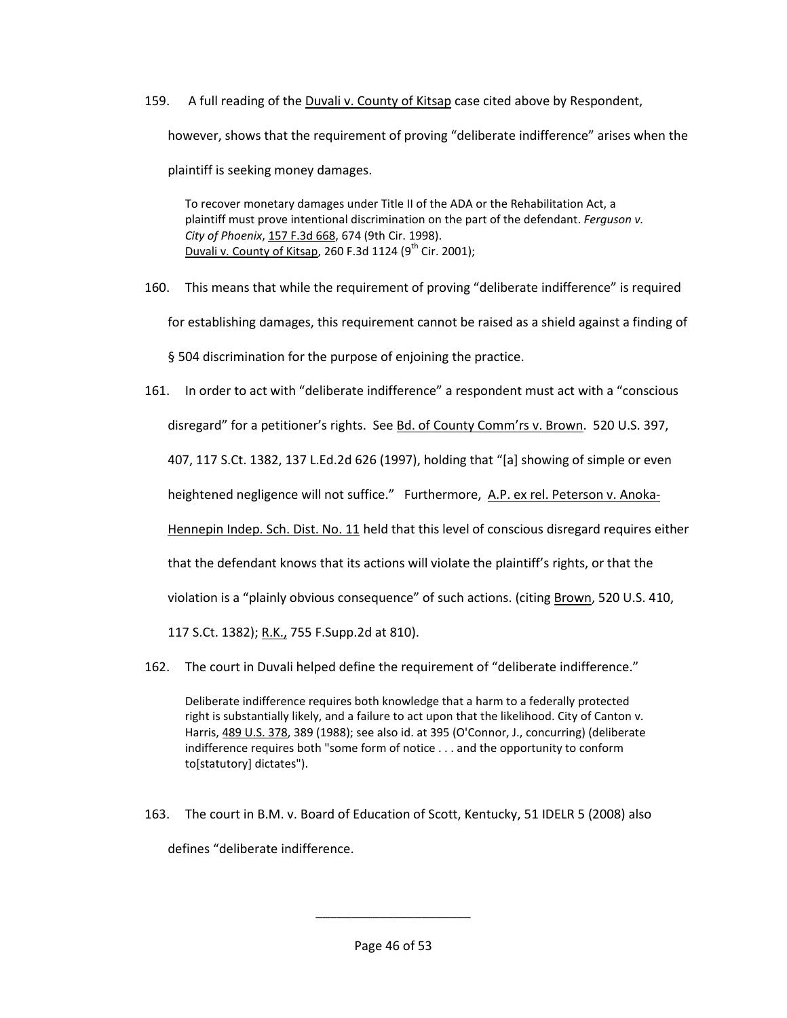159. A full reading of the Duvali v. County of Kitsap case cited above by Respondent, however, shows that the requirement of proving "deliberate indifference" arises when the plaintiff is seeking money damages.

To recover monetary damages under Title II of the ADA or the Rehabilitation Act, a plaintiff must prove intentional discrimination on the part of the defendant. *Ferguson v. City of Phoenix*, [157 F.3d 668,](http://openjurist.org/157/f3d/668) 674 (9th Cir. 1998). Duvali v. County of Kitsap, 260 F.3d 1124 (9<sup>th</sup> Cir. 2001);

160. This means that while the requirement of proving "deliberate indifference" is required for establishing damages, this requirement cannot be raised as a shield against a finding of § 504 discrimination for the purpose of enjoining the practice.

161. In order to act with "deliberate indifference" a respondent must act with a "conscious disregard" for a petitioner's rights. See Bd. of County Comm'rs v. Brown. 520 U.S. 397, 407, 117 S.Ct. 1382, 137 L.Ed.2d 626 (1997), holding that "[a] showing of simple or even heightened negligence will not suffice." Furthermore, A.P. ex rel. Peterson v. Anoka-Hennepin Indep. Sch. Dist. No. 11 held that this level of conscious disregard requires either that the defendant knows that its actions will violate the plaintiff's rights, or that the violation is a "plainly obvious consequence" of such actions. (citing Brown, 520 U.S. 410, 117 S.Ct. 1382); R.K., 755 F.Supp.2d at 810).

162. The court in Duvali helped define the requirement of "deliberate indifference."

Deliberate indifference requires both knowledge that a harm to a federally protected right is substantially likely, and a failure to act upon that the likelihood. City of Canton v. Harris, [489 U.S. 378,](http://openjurist.org/489/us/378) 389 (1988); see also id. at 395 (O'Connor, J., concurring) (deliberate indifference requires both "some form of notice . . . and the opportunity to conform to[statutory] dictates").

163. The court in B.M. v. Board of Education of Scott, Kentucky, 51 IDELR 5 (2008) also defines "deliberate indifference.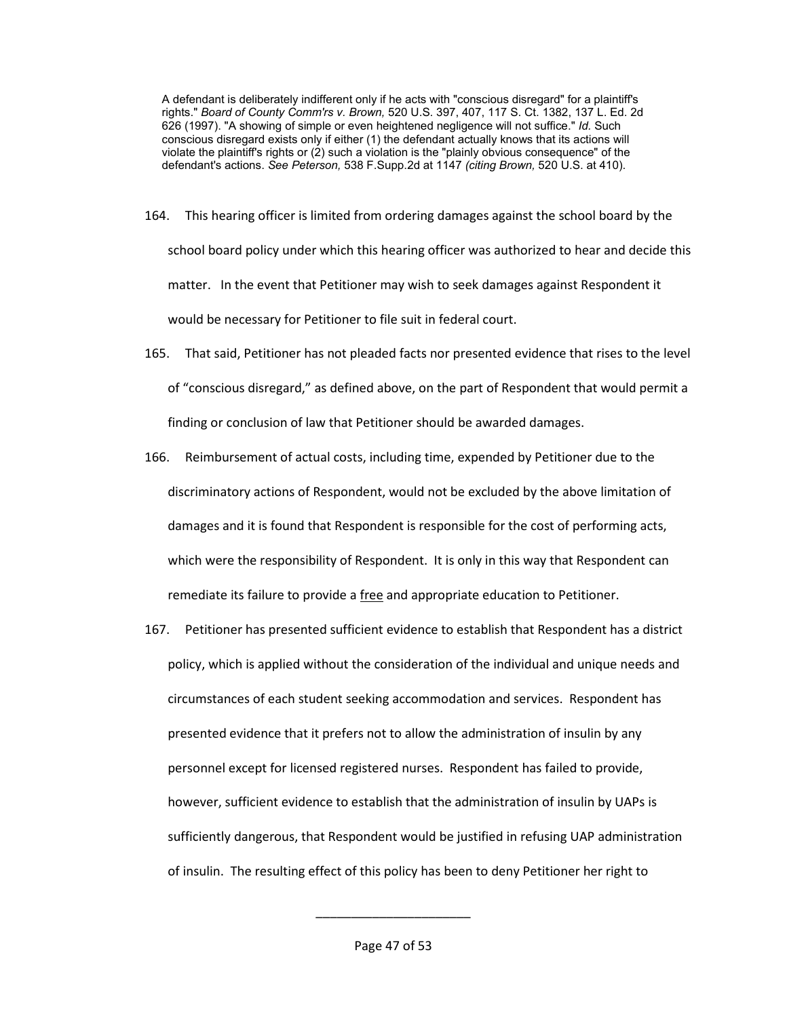A defendant is deliberately indifferent only if he acts with "conscious disregard" for a plaintiff's rights." *Board of County Comm'rs v. Brown,* 520 U.S. 397, 407, 117 S. Ct. 1382, 137 L. Ed. 2d 626 (1997). "A showing of simple or even heightened negligence will not suffice." *Id.* Such conscious disregard exists only if either (1) the defendant actually knows that its actions will violate the plaintiff's rights or (2) such a violation is the "plainly obvious consequence" of the defendant's actions. *See Peterson,* 538 F.Supp.2d at 1147 *(citing Brown,* 520 U.S. at 410).

- 164. This hearing officer is limited from ordering damages against the school board by the school board policy under which this hearing officer was authorized to hear and decide this matter. In the event that Petitioner may wish to seek damages against Respondent it would be necessary for Petitioner to file suit in federal court.
- 165. That said, Petitioner has not pleaded facts nor presented evidence that rises to the level of "conscious disregard," as defined above, on the part of Respondent that would permit a finding or conclusion of law that Petitioner should be awarded damages.
- 166. Reimbursement of actual costs, including time, expended by Petitioner due to the discriminatory actions of Respondent, would not be excluded by the above limitation of damages and it is found that Respondent is responsible for the cost of performing acts, which were the responsibility of Respondent. It is only in this way that Respondent can remediate its failure to provide a free and appropriate education to Petitioner.
- 167. Petitioner has presented sufficient evidence to establish that Respondent has a district policy, which is applied without the consideration of the individual and unique needs and circumstances of each student seeking accommodation and services. Respondent has presented evidence that it prefers not to allow the administration of insulin by any personnel except for licensed registered nurses. Respondent has failed to provide, however, sufficient evidence to establish that the administration of insulin by UAPs is sufficiently dangerous, that Respondent would be justified in refusing UAP administration of insulin. The resulting effect of this policy has been to deny Petitioner her right to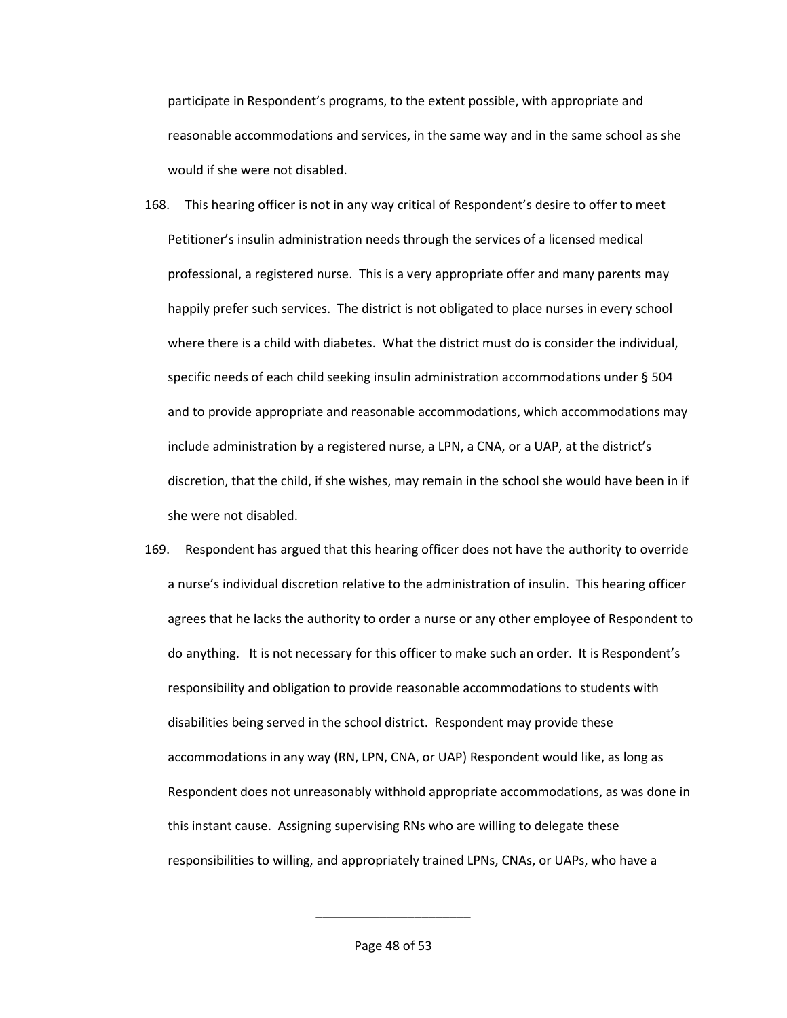participate in Respondent's programs, to the extent possible, with appropriate and reasonable accommodations and services, in the same way and in the same school as she would if she were not disabled.

- 168. This hearing officer is not in any way critical of Respondent's desire to offer to meet Petitioner's insulin administration needs through the services of a licensed medical professional, a registered nurse. This is a very appropriate offer and many parents may happily prefer such services. The district is not obligated to place nurses in every school where there is a child with diabetes. What the district must do is consider the individual, specific needs of each child seeking insulin administration accommodations under § 504 and to provide appropriate and reasonable accommodations, which accommodations may include administration by a registered nurse, a LPN, a CNA, or a UAP, at the district's discretion, that the child, if she wishes, may remain in the school she would have been in if she were not disabled.
- 169. Respondent has argued that this hearing officer does not have the authority to override a nurse's individual discretion relative to the administration of insulin. This hearing officer agrees that he lacks the authority to order a nurse or any other employee of Respondent to do anything. It is not necessary for this officer to make such an order. It is Respondent's responsibility and obligation to provide reasonable accommodations to students with disabilities being served in the school district. Respondent may provide these accommodations in any way (RN, LPN, CNA, or UAP) Respondent would like, as long as Respondent does not unreasonably withhold appropriate accommodations, as was done in this instant cause. Assigning supervising RNs who are willing to delegate these responsibilities to willing, and appropriately trained LPNs, CNAs, or UAPs, who have a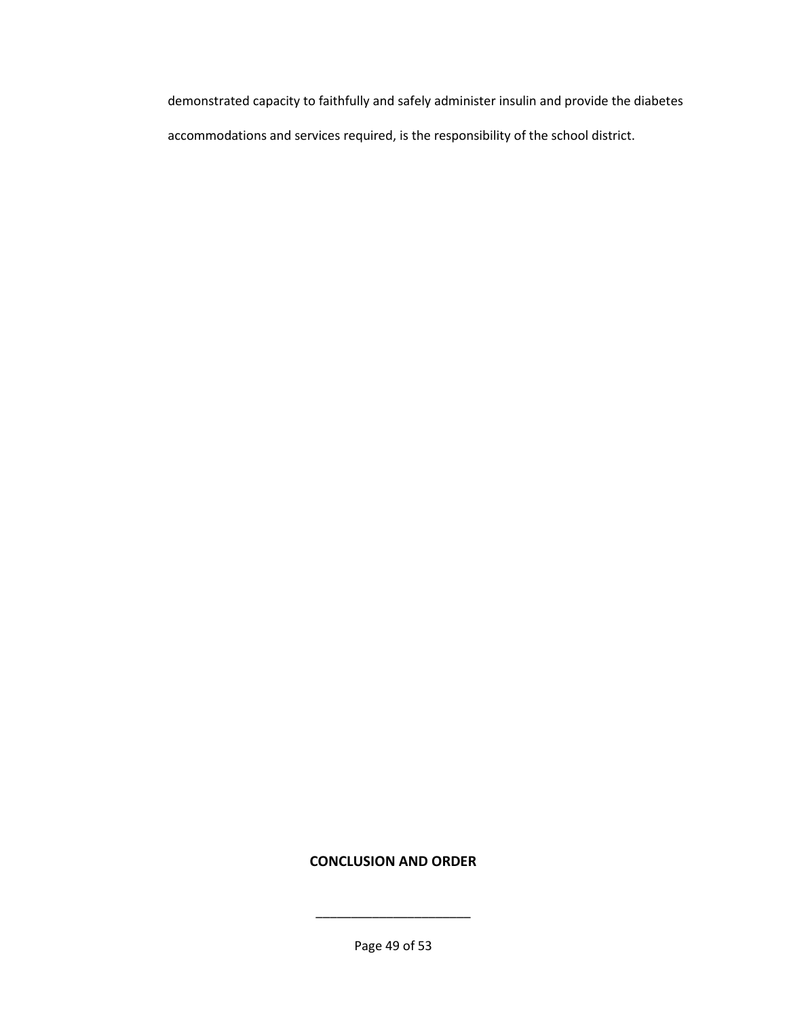demonstrated capacity to faithfully and safely administer insulin and provide the diabetes accommodations and services required, is the responsibility of the school district.

# **CONCLUSION AND ORDER**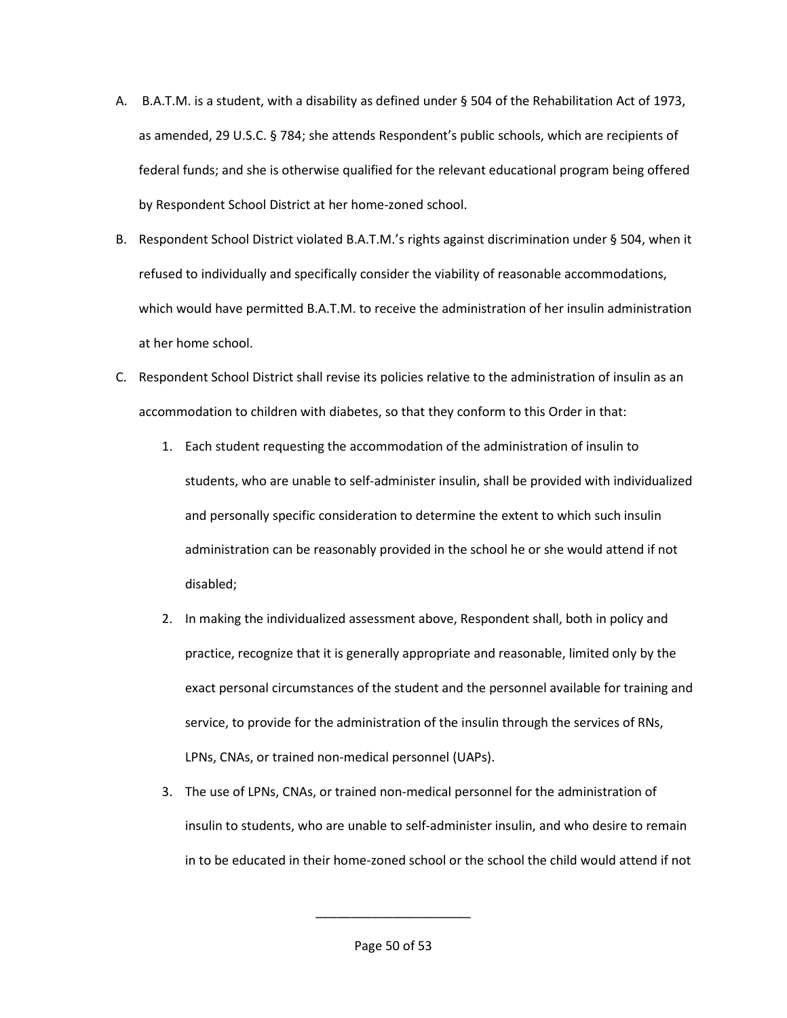- A. B.A.T.M. is a student, with a disability as defined under § 504 of the Rehabilitation Act of 1973, as amended, 29 U.S.C. § 784; she attends Respondent's public schools, which are recipients of federal funds; and she is otherwise qualified for the relevant educational program being offered by Respondent School District at her home-zoned school.
- B. Respondent School District violated B.A.T.M.'s rights against discrimination under § 504, when it refused to individually and specifically consider the viability of reasonable accommodations, which would have permitted B.A.T.M. to receive the administration of her insulin administration at her home school.
- C. Respondent School District shall revise its policies relative to the administration of insulin as an accommodation to children with diabetes, so that they conform to this Order in that:
	- 1. Each student requesting the accommodation of the administration of insulin to students, who are unable to self-administer insulin, shall be provided with individualized and personally specific consideration to determine the extent to which such insulin administration can be reasonably provided in the school he or she would attend if not disabled;
	- 2. In making the individualized assessment above, Respondent shall, both in policy and practice, recognize that it is generally appropriate and reasonable, limited only by the exact personal circumstances of the student and the personnel available for training and service, to provide for the administration of the insulin through the services of RNs, LPNs, CNAs, or trained non-medical personnel (UAPs).
	- 3. The use of LPNs, CNAs, or trained non-medical personnel for the administration of insulin to students, who are unable to self-administer insulin, and who desire to remain in to be educated in their home-zoned school or the school the child would attend if not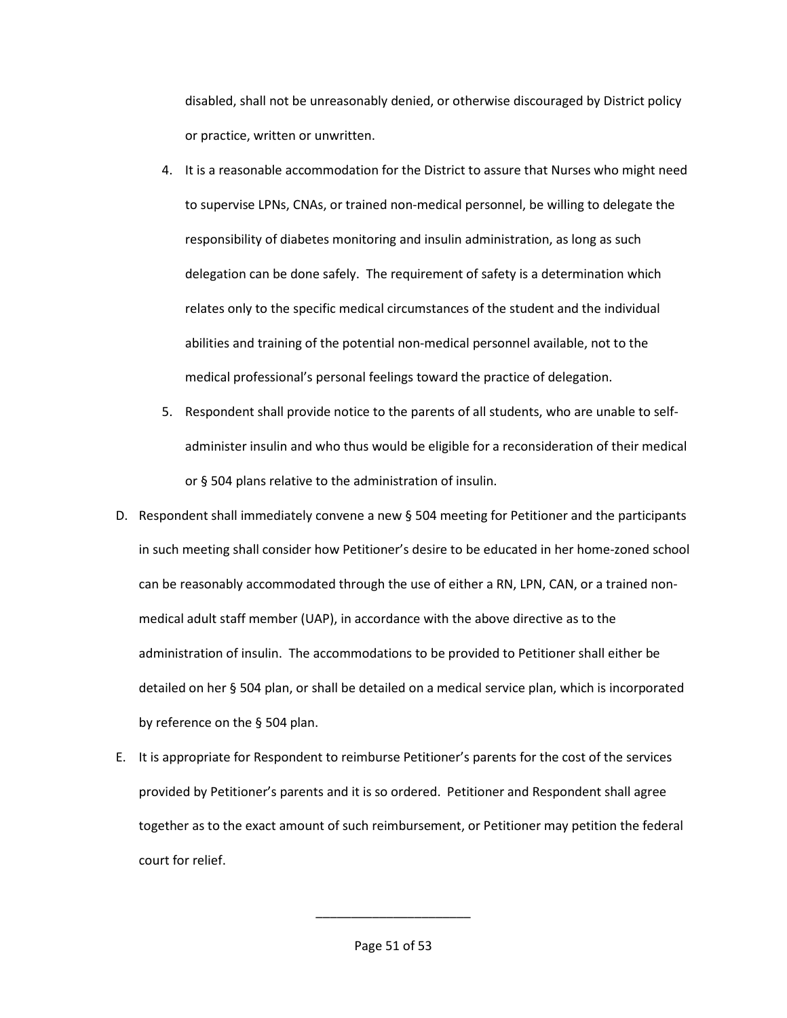disabled, shall not be unreasonably denied, or otherwise discouraged by District policy or practice, written or unwritten.

- 4. It is a reasonable accommodation for the District to assure that Nurses who might need to supervise LPNs, CNAs, or trained non-medical personnel, be willing to delegate the responsibility of diabetes monitoring and insulin administration, as long as such delegation can be done safely. The requirement of safety is a determination which relates only to the specific medical circumstances of the student and the individual abilities and training of the potential non-medical personnel available, not to the medical professional's personal feelings toward the practice of delegation.
- 5. Respondent shall provide notice to the parents of all students, who are unable to selfadminister insulin and who thus would be eligible for a reconsideration of their medical or § 504 plans relative to the administration of insulin.
- D. Respondent shall immediately convene a new § 504 meeting for Petitioner and the participants in such meeting shall consider how Petitioner's desire to be educated in her home-zoned school can be reasonably accommodated through the use of either a RN, LPN, CAN, or a trained nonmedical adult staff member (UAP), in accordance with the above directive as to the administration of insulin. The accommodations to be provided to Petitioner shall either be detailed on her § 504 plan, or shall be detailed on a medical service plan, which is incorporated by reference on the § 504 plan.
- E. It is appropriate for Respondent to reimburse Petitioner's parents for the cost of the services provided by Petitioner's parents and it is so ordered. Petitioner and Respondent shall agree together as to the exact amount of such reimbursement, or Petitioner may petition the federal court for relief.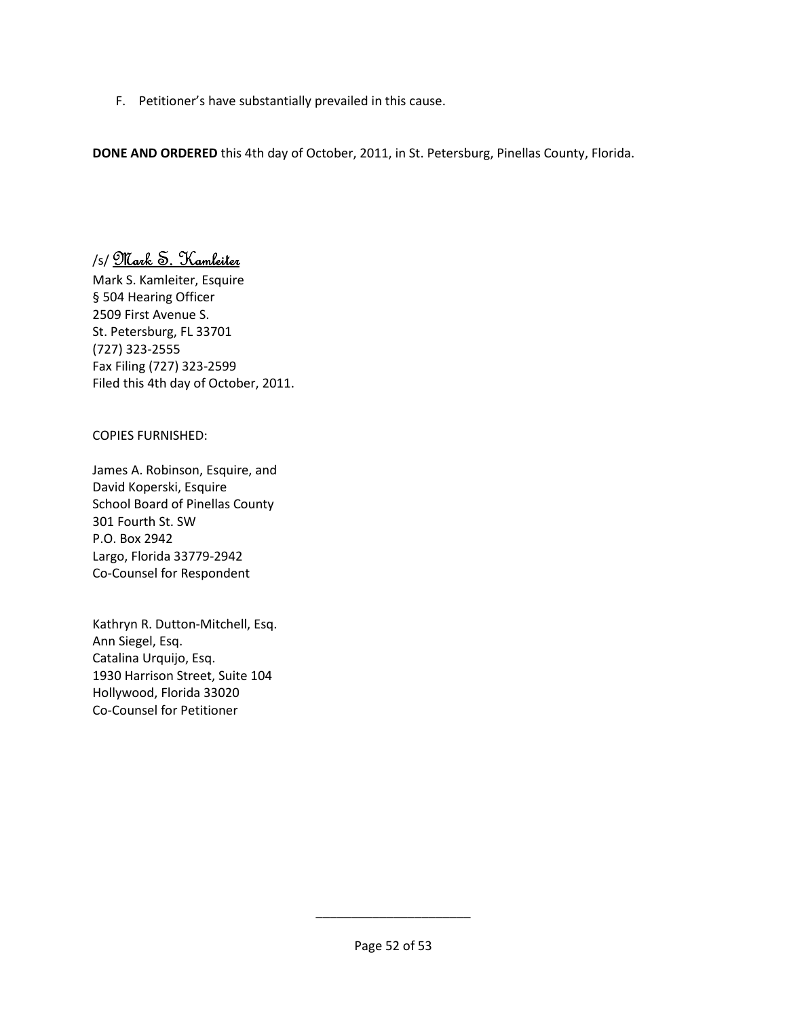F. Petitioner's have substantially prevailed in this cause.

**DONE AND ORDERED** this 4th day of October, 2011, in St. Petersburg, Pinellas County, Florida.

# /s/ Mark S. Kamleiter

Mark S. Kamleiter, Esquire § 504 Hearing Officer 2509 First Avenue S. St. Petersburg, FL 33701 (727) 323-2555 Fax Filing (727) 323-2599 Filed this 4th day of October, 2011.

# COPIES FURNISHED:

James A. Robinson, Esquire, and David Koperski, Esquire School Board of Pinellas County 301 Fourth St. SW P.O. Box 2942 Largo, Florida 33779-2942 Co-Counsel for Respondent

Kathryn R. Dutton-Mitchell, Esq. Ann Siegel, Esq. Catalina Urquijo, Esq. 1930 Harrison Street, Suite 104 Hollywood, Florida 33020 Co-Counsel for Petitioner